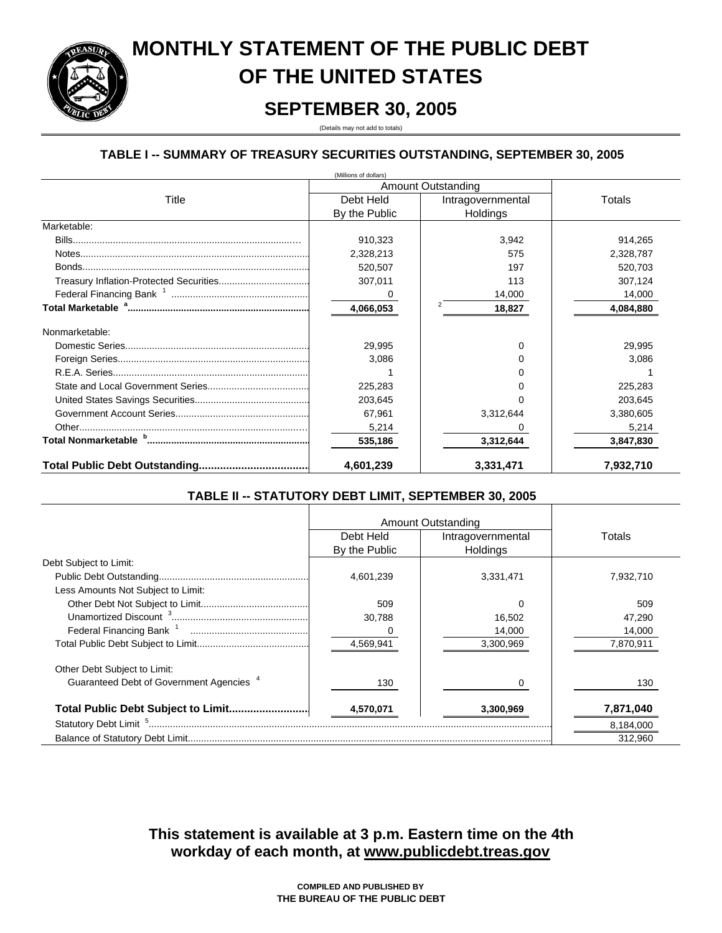# **MONTHLY STATEMENT OF THE PUBLIC DEBT OF THE UNITED STATES**

# **SEPTEMBER 30, 2005**

(Details may not add to totals)

## **TABLE I -- SUMMARY OF TREASURY SECURITIES OUTSTANDING, SEPTEMBER 30, 2005**

|                | (Millions of dollars) |                    |           |
|----------------|-----------------------|--------------------|-----------|
|                |                       | Amount Outstanding |           |
| Title          | Debt Held             | Intragovernmental  | Totals    |
|                | By the Public         | Holdings           |           |
| Marketable:    |                       |                    |           |
|                | 910,323               | 3,942              | 914,265   |
|                | 2,328,213             | 575                | 2,328,787 |
|                | 520,507               | 197                | 520,703   |
|                | 307,011               | 113                | 307,124   |
|                |                       | 14,000             | 14,000    |
|                | 4,066,053             | 18,827             | 4,084,880 |
| Nonmarketable: |                       |                    |           |
|                | 29,995                | U                  | 29,995    |
|                | 3,086                 |                    | 3,086     |
|                |                       |                    |           |
|                | 225,283               |                    | 225,283   |
|                | 203,645               |                    | 203,645   |
|                | 67,961                | 3,312,644          | 3,380,605 |
|                | 5,214                 |                    | 5,214     |
|                | 535,186               | 3,312,644          | 3,847,830 |
|                | 4,601,239             | 3,331,471          | 7,932,710 |

## **TABLE II -- STATUTORY DEBT LIMIT, SEPTEMBER 30, 2005**

|                                                     |               | Amount Outstanding |           |
|-----------------------------------------------------|---------------|--------------------|-----------|
|                                                     | Debt Held     | Intragovernmental  | Totals    |
|                                                     | By the Public | Holdings           |           |
| Debt Subject to Limit:                              |               |                    |           |
|                                                     | 4.601.239     | 3.331.471          | 7.932.710 |
| Less Amounts Not Subject to Limit:                  |               |                    |           |
|                                                     | 509           |                    | 509       |
|                                                     | 30.788        | 16,502             | 47,290    |
|                                                     |               | 14,000             | 14,000    |
|                                                     | 4,569,941     | 3,300,969          | 7,870,911 |
| Other Debt Subject to Limit:                        |               |                    |           |
| Guaranteed Debt of Government Agencies <sup>4</sup> | 130           |                    | 130       |
|                                                     | 4,570,071     | 3,300,969          | 7,871,040 |
| Statutory Debt Limit <sup>5</sup>                   |               |                    | 8,184,000 |
|                                                     |               |                    | 312.960   |

**workday of each month, at www.publicdebt.treas.gov This statement is available at 3 p.m. Eastern time on the 4th**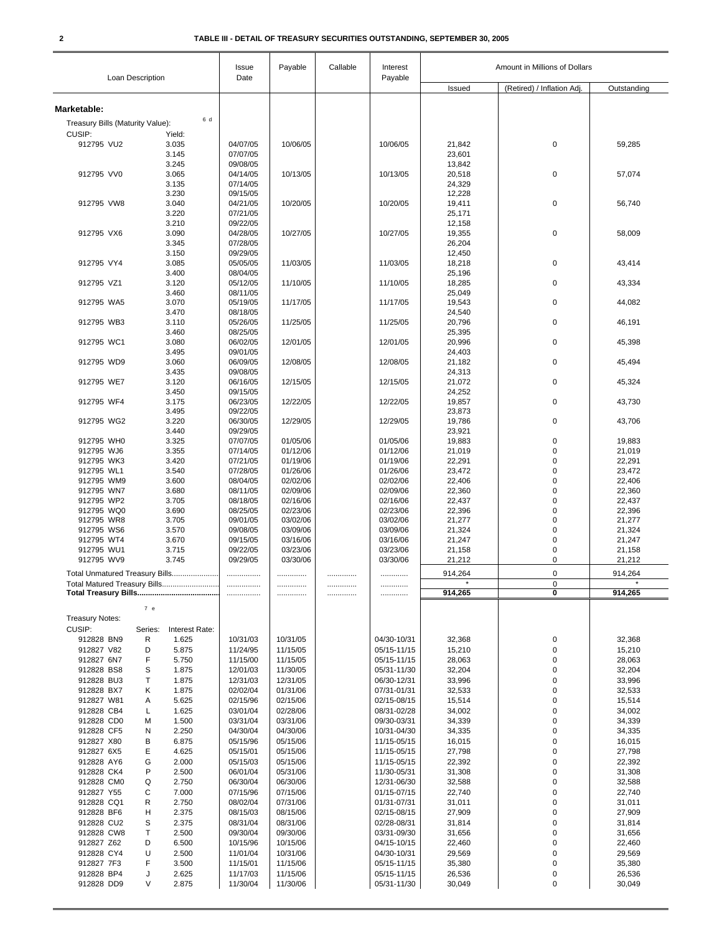|                                  | Loan Description               | Issue<br>Date        | Payable              | Callable | Interest<br>Payable        | Amount in Millions of Dollars |                            |                    |
|----------------------------------|--------------------------------|----------------------|----------------------|----------|----------------------------|-------------------------------|----------------------------|--------------------|
|                                  |                                |                      |                      |          |                            | Issued                        | (Retired) / Inflation Adj. | Outstanding        |
| Marketable:                      |                                |                      |                      |          |                            |                               |                            |                    |
| Treasury Bills (Maturity Value): | 6 d                            |                      |                      |          |                            |                               |                            |                    |
| CUSIP:                           | Yield:                         |                      |                      |          |                            |                               |                            |                    |
| 912795 VU2                       | 3.035                          | 04/07/05             | 10/06/05             |          | 10/06/05                   | 21,842                        | $\pmb{0}$                  | 59,285             |
|                                  | 3.145                          | 07/07/05             |                      |          |                            | 23,601                        |                            |                    |
| 912795 VV0                       | 3.245<br>3.065                 | 09/08/05<br>04/14/05 | 10/13/05             |          | 10/13/05                   | 13,842<br>20,518              | $\pmb{0}$                  | 57,074             |
|                                  | 3.135                          | 07/14/05             |                      |          |                            | 24,329                        |                            |                    |
|                                  | 3.230                          | 09/15/05             |                      |          |                            | 12,228                        |                            |                    |
| 912795 VW8                       | 3.040                          | 04/21/05             | 10/20/05             |          | 10/20/05                   | 19,411                        | $\pmb{0}$                  | 56,740             |
|                                  | 3.220<br>3.210                 | 07/21/05<br>09/22/05 |                      |          |                            | 25,171<br>12,158              |                            |                    |
| 912795 VX6                       | 3.090                          | 04/28/05             | 10/27/05             |          | 10/27/05                   | 19,355                        | $\pmb{0}$                  | 58,009             |
|                                  | 3.345                          | 07/28/05             |                      |          |                            | 26,204                        |                            |                    |
|                                  | 3.150                          | 09/29/05             |                      |          |                            | 12,450                        | $\mathbf 0$                |                    |
| 912795 VY4                       | 3.085<br>3.400                 | 05/05/05<br>08/04/05 | 11/03/05             |          | 11/03/05                   | 18,218<br>25,196              |                            | 43,414             |
| 912795 VZ1                       | 3.120                          | 05/12/05             | 11/10/05             |          | 11/10/05                   | 18,285                        | $\pmb{0}$                  | 43,334             |
|                                  | 3.460                          | 08/11/05             |                      |          |                            | 25,049                        |                            |                    |
| 912795 WA5                       | 3.070<br>3.470                 | 05/19/05<br>08/18/05 | 11/17/05             |          | 11/17/05                   | 19,543                        | 0                          | 44,082             |
| 912795 WB3                       | 3.110                          | 05/26/05             | 11/25/05             |          | 11/25/05                   | 24,540<br>20,796              | $\pmb{0}$                  | 46,191             |
|                                  | 3.460                          | 08/25/05             |                      |          |                            | 25,395                        |                            |                    |
| 912795 WC1                       | 3.080                          | 06/02/05             | 12/01/05             |          | 12/01/05                   | 20,996                        | $\pmb{0}$                  | 45,398             |
| 912795 WD9                       | 3.495<br>3.060                 | 09/01/05<br>06/09/05 | 12/08/05             |          | 12/08/05                   | 24,403                        | $\pmb{0}$                  | 45,494             |
|                                  | 3.435                          | 09/08/05             |                      |          |                            | 21,182<br>24,313              |                            |                    |
| 912795 WE7                       | 3.120                          | 06/16/05             | 12/15/05             |          | 12/15/05                   | 21,072                        | $\pmb{0}$                  | 45,324             |
|                                  | 3.450                          | 09/15/05             |                      |          |                            | 24,252                        |                            |                    |
| 912795 WF4                       | 3.175<br>3.495                 | 06/23/05<br>09/22/05 | 12/22/05             |          | 12/22/05                   | 19,857<br>23,873              | 0                          | 43,730             |
| 912795 WG2                       | 3.220                          | 06/30/05             | 12/29/05             |          | 12/29/05                   | 19,786                        | $\pmb{0}$                  | 43,706             |
|                                  | 3.440                          | 09/29/05             |                      |          |                            | 23,921                        |                            |                    |
| 912795 WHO                       | 3.325                          | 07/07/05             | 01/05/06             |          | 01/05/06                   | 19,883                        | $\pmb{0}$                  | 19,883             |
| 912795 WJ6<br>912795 WK3         | 3.355<br>3.420                 | 07/14/05<br>07/21/05 | 01/12/06<br>01/19/06 |          | 01/12/06<br>01/19/06       | 21,019<br>22,291              | 0<br>0                     | 21,019<br>22,291   |
| 912795 WL1                       | 3.540                          | 07/28/05             | 01/26/06             |          | 01/26/06                   | 23,472                        | 0                          | 23,472             |
| 912795 WM9                       | 3.600                          | 08/04/05             | 02/02/06             |          | 02/02/06                   | 22,406                        | 0                          | 22,406             |
| 912795 WN7                       | 3.680                          | 08/11/05             | 02/09/06             |          | 02/09/06                   | 22,360                        | 0                          | 22,360             |
| 912795 WP2<br>912795 WQ0         | 3.705<br>3.690                 | 08/18/05<br>08/25/05 | 02/16/06<br>02/23/06 |          | 02/16/06<br>02/23/06       | 22,437                        | 0<br>$\pmb{0}$             | 22,437<br>22,396   |
| 912795 WR8                       | 3.705                          | 09/01/05             | 03/02/06             |          | 03/02/06                   | 22,396<br>21,277              | 0                          | 21,277             |
| 912795 WS6                       | 3.570                          | 09/08/05             | 03/09/06             |          | 03/09/06                   | 21,324                        | 0                          | 21,324             |
| 912795 WT4                       | 3.670                          | 09/15/05             | 03/16/06             |          | 03/16/06                   | 21,247                        | 0                          | 21,247             |
| 912795 WU1<br>912795 WV9         | 3.715<br>3.745                 | 09/22/05<br>09/29/05 | 03/23/06<br>03/30/06 |          | 03/23/06<br>03/30/06       | 21,158<br>21,212              | 0<br>0                     | 21,158<br>21,212   |
|                                  |                                |                      |                      |          |                            |                               | 0                          |                    |
|                                  | Total Unmatured Treasury Bills |                      |                      | .        | .                          | 914,264<br>$\star$            | 0                          | 914,264<br>$\star$ |
|                                  |                                | .                    |                      | .        | .                          | 914,265                       | 0                          | 914,265            |
|                                  | 7 e                            |                      |                      |          |                            |                               |                            |                    |
| <b>Treasury Notes:</b>           |                                |                      |                      |          |                            |                               |                            |                    |
| CUSIP:                           | Series:<br>Interest Rate:      |                      |                      |          |                            |                               |                            |                    |
| 912828 BN9                       | R<br>1.625                     | 10/31/03             | 10/31/05             |          | 04/30-10/31                | 32,368                        | 0                          | 32,368             |
| 912827 V82<br>912827 6N7         | 5.875<br>D<br>F<br>5.750       | 11/24/95<br>11/15/00 | 11/15/05<br>11/15/05 |          | 05/15-11/15<br>05/15-11/15 | 15,210<br>28,063              | $\pmb{0}$<br>0             | 15,210<br>28,063   |
| 912828 BS8                       | S<br>1.875                     | 12/01/03             | 11/30/05             |          | 05/31-11/30                | 32,204                        | 0                          | 32,204             |
| 912828 BU3                       | 1.875<br>Τ                     | 12/31/03             | 12/31/05             |          | 06/30-12/31                | 33,996                        | 0                          | 33,996             |
| 912828 BX7                       | 1.875<br>Κ                     | 02/02/04             | 01/31/06             |          | 07/31-01/31                | 32,533                        | 0                          | 32,533             |
| 912827 W81<br>912828 CB4         | 5.625<br>Α<br>1.625<br>L       | 02/15/96<br>03/01/04 | 02/15/06<br>02/28/06 |          | 02/15-08/15<br>08/31-02/28 | 15,514<br>34,002              | 0<br>0                     | 15,514<br>34,002   |
| 912828 CD0                       | 1.500<br>М                     | 03/31/04             | 03/31/06             |          | 09/30-03/31                | 34,339                        | $\pmb{0}$                  | 34,339             |
| 912828 CF5                       | 2.250<br>N                     | 04/30/04             | 04/30/06             |          | 10/31-04/30                | 34,335                        | 0                          | 34,335             |
| 912827 X80                       | 6.875<br>В                     | 05/15/96             | 05/15/06             |          | 11/15-05/15                | 16,015                        | 0                          | 16,015             |
| 912827 6X5                       | Ε<br>4.625                     | 05/15/01             | 05/15/06             |          | 11/15-05/15                | 27,798                        | 0                          | 27,798             |
| 912828 AY6<br>912828 CK4         | G<br>2.000<br>P<br>2.500       | 05/15/03<br>06/01/04 | 05/15/06<br>05/31/06 |          | 11/15-05/15<br>11/30-05/31 | 22,392<br>31,308              | 0<br>$\pmb{0}$             | 22,392<br>31,308   |
| 912828 CM0                       | Q<br>2.750                     | 06/30/04             | 06/30/06             |          | 12/31-06/30                | 32,588                        | 0                          | 32,588             |
| 912827 Y55                       | С<br>7.000                     | 07/15/96             | 07/15/06             |          | 01/15-07/15                | 22,740                        | 0                          | 22,740             |
| 912828 CQ1                       | R<br>2.750                     | 08/02/04             | 07/31/06             |          | 01/31-07/31                | 31,011                        | 0                          | 31,011             |
| 912828 BF6<br>912828 CU2         | н<br>2.375<br>S<br>2.375       | 08/15/03<br>08/31/04 | 08/15/06<br>08/31/06 |          | 02/15-08/15<br>02/28-08/31 | 27,909<br>31,814              | $\pmb{0}$<br>0             | 27,909<br>31,814   |
| 912828 CW8                       | 2.500<br>Т                     | 09/30/04             | 09/30/06             |          | 03/31-09/30                | 31,656                        | 0                          | 31,656             |
| 912827 Z62                       | D<br>6.500                     | 10/15/96             | 10/15/06             |          | 04/15-10/15                | 22,460                        | 0                          | 22,460             |
| 912828 CY4                       | U<br>2.500                     | 11/01/04             | 10/31/06             |          | 04/30-10/31                | 29,569                        | 0                          | 29,569             |
| 912827 7F3                       | F<br>3.500                     | 11/15/01             | 11/15/06             |          | 05/15-11/15                | 35,380                        | 0                          | 35,380             |
| 912828 BP4<br>912828 DD9         | 2.625<br>J<br>V<br>2.875       | 11/17/03<br>11/30/04 | 11/15/06<br>11/30/06 |          | 05/15-11/15<br>05/31-11/30 | 26,536<br>30,049              | 0<br>0                     | 26,536<br>30,049   |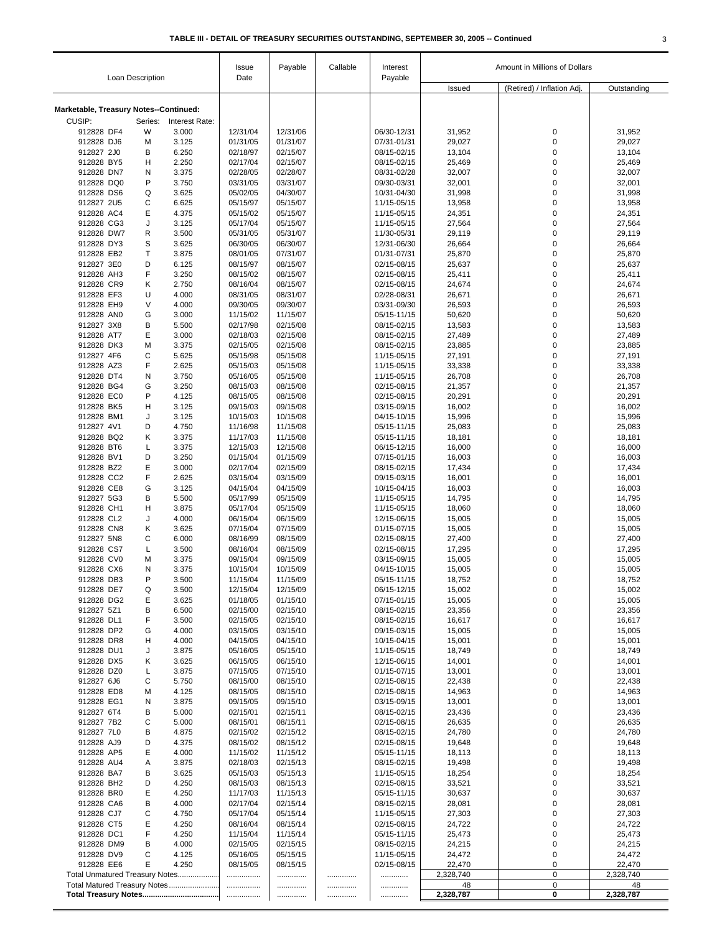|                                        | Loan Description |                | Issue<br>Date        | Payable              | Callable | Interest<br>Payable        | Amount in Millions of Dollars |                            |                  |
|----------------------------------------|------------------|----------------|----------------------|----------------------|----------|----------------------------|-------------------------------|----------------------------|------------------|
|                                        |                  |                |                      |                      |          |                            | Issued                        | (Retired) / Inflation Adj. | Outstanding      |
| Marketable, Treasury Notes--Continued: |                  |                |                      |                      |          |                            |                               |                            |                  |
| CUSIP:                                 | Series:          | Interest Rate: |                      |                      |          |                            |                               |                            |                  |
| 912828 DF4                             | W                | 3.000          | 12/31/04             | 12/31/06             |          | 06/30-12/31                | 31,952                        | 0                          | 31,952           |
| 912828 DJ6                             | M                | 3.125          | 01/31/05             | 01/31/07             |          | 07/31-01/31                | 29,027                        | $\mathbf 0$                | 29,027           |
| 912827 2J0                             | В                | 6.250          | 02/18/97             | 02/15/07             |          | 08/15-02/15                | 13,104                        | 0                          | 13,104           |
| 912828 BY5                             | н                | 2.250          | 02/17/04             | 02/15/07             |          | 08/15-02/15                | 25,469                        | 0                          | 25,469           |
| 912828 DN7                             | N                | 3.375          | 02/28/05             | 02/28/07             |          | 08/31-02/28                | 32,007                        | 0                          | 32,007           |
| 912828 DQ0<br>912828 DS6               | P<br>Q           | 3.750<br>3.625 | 03/31/05<br>05/02/05 | 03/31/07<br>04/30/07 |          | 09/30-03/31<br>10/31-04/30 | 32,001<br>31,998              | 0<br>0                     | 32,001<br>31,998 |
| 912827 2U5                             | С                | 6.625          | 05/15/97             | 05/15/07             |          | 11/15-05/15                | 13,958                        | 0                          | 13,958           |
| 912828 AC4                             | E                | 4.375          | 05/15/02             | 05/15/07             |          | 11/15-05/15                | 24,351                        | 0                          | 24,351           |
| 912828 CG3                             | J                | 3.125          | 05/17/04             | 05/15/07             |          | 11/15-05/15                | 27,564                        | $\mathbf 0$                | 27,564           |
| 912828 DW7                             | R                | 3.500          | 05/31/05             | 05/31/07             |          | 11/30-05/31                | 29,119                        | 0                          | 29,119           |
| 912828 DY3                             | S                | 3.625          | 06/30/05             | 06/30/07             |          | 12/31-06/30                | 26,664                        | 0                          | 26,664           |
| 912828 EB2                             | T                | 3.875          | 08/01/05             | 07/31/07             |          | 01/31-07/31                | 25,870                        | 0                          | 25,870           |
| 912827 3E0                             | D                | 6.125          | 08/15/97             | 08/15/07             |          | 02/15-08/15                | 25,637                        | 0                          | 25,637           |
| 912828 AH3                             | F                | 3.250          | 08/15/02             | 08/15/07             |          | 02/15-08/15                | 25,411                        | 0                          | 25,411           |
| 912828 CR9                             | Κ                | 2.750          | 08/16/04             | 08/15/07             |          | 02/15-08/15                | 24,674                        | 0<br>$\mathbf 0$           | 24,674           |
| 912828 EF3<br>912828 EH9               | U<br>$\vee$      | 4.000<br>4.000 | 08/31/05<br>09/30/05 | 08/31/07<br>09/30/07 |          | 02/28-08/31<br>03/31-09/30 | 26,671<br>26,593              | 0                          | 26,671<br>26,593 |
| 912828 ANO                             | G                | 3.000          | 11/15/02             | 11/15/07             |          | 05/15-11/15                | 50,620                        | 0                          | 50,620           |
| 912827 3X8                             | B                | 5.500          | 02/17/98             | 02/15/08             |          | 08/15-02/15                | 13,583                        | 0                          | 13,583           |
| 912828 AT7                             | E                | 3.000          | 02/18/03             | 02/15/08             |          | 08/15-02/15                | 27,489                        | 0                          | 27,489           |
| 912828 DK3                             | M                | 3.375          | 02/15/05             | 02/15/08             |          | 08/15-02/15                | 23,885                        | $\mathbf 0$                | 23,885           |
| 912827 4F6                             | C                | 5.625          | 05/15/98             | 05/15/08             |          | 11/15-05/15                | 27,191                        | 0                          | 27,191           |
| 912828 AZ3                             | F                | 2.625          | 05/15/03             | 05/15/08             |          | 11/15-05/15                | 33,338                        | 0                          | 33,338           |
| 912828 DT4                             | N                | 3.750          | 05/16/05             | 05/15/08             |          | 11/15-05/15                | 26,708                        | 0                          | 26,708           |
| 912828 BG4                             | G                | 3.250          | 08/15/03             | 08/15/08             |          | 02/15-08/15                | 21,357                        | $\mathbf 0$                | 21,357           |
| 912828 EC0                             | P                | 4.125          | 08/15/05             | 08/15/08             |          | 02/15-08/15                | 20,291                        | 0                          | 20,291           |
| 912828 BK5<br>912828 BM1               | Н<br>J           | 3.125<br>3.125 | 09/15/03<br>10/15/03 | 09/15/08<br>10/15/08 |          | 03/15-09/15<br>04/15-10/15 | 16,002<br>15,996              | 0<br>0                     | 16,002<br>15,996 |
| 912827 4V1                             | D                | 4.750          | 11/16/98             | 11/15/08             |          | 05/15-11/15                | 25,083                        | 0                          | 25,083           |
| 912828 BQ2                             | Κ                | 3.375          | 11/17/03             | 11/15/08             |          | 05/15-11/15                | 18,181                        | 0                          | 18,181           |
| 912828 BT6                             | L                | 3.375          | 12/15/03             | 12/15/08             |          | 06/15-12/15                | 16,000                        | 0                          | 16,000           |
| 912828 BV1                             | D                | 3.250          | 01/15/04             | 01/15/09             |          | 07/15-01/15                | 16,003                        | 0                          | 16,003           |
| 912828 BZ2                             | E                | 3.000          | 02/17/04             | 02/15/09             |          | 08/15-02/15                | 17,434                        | 0                          | 17,434           |
| 912828 CC2                             | F                | 2.625          | 03/15/04             | 03/15/09             |          | 09/15-03/15                | 16,001                        | 0                          | 16,001           |
| 912828 CE8                             | G                | 3.125          | 04/15/04             | 04/15/09             |          | 10/15-04/15                | 16,003                        | 0                          | 16,003           |
| 912827 5G3                             | B                | 5.500          | 05/17/99             | 05/15/09             |          | 11/15-05/15                | 14,795                        | 0                          | 14,795           |
| 912828 CH1<br>912828 CL2               | н<br>J           | 3.875<br>4.000 | 05/17/04<br>06/15/04 | 05/15/09<br>06/15/09 |          | 11/15-05/15<br>12/15-06/15 | 18,060<br>15,005              | 0<br>0                     | 18,060           |
| 912828 CN8                             | Κ                | 3.625          | 07/15/04             | 07/15/09             |          | 01/15-07/15                | 15,005                        | 0                          | 15,005<br>15,005 |
| 912827 5N8                             | С                | 6.000          | 08/16/99             | 08/15/09             |          | 02/15-08/15                | 27,400                        | 0                          | 27,400           |
| 912828 CS7                             | L                | 3.500          | 08/16/04             | 08/15/09             |          | 02/15-08/15                | 17,295                        | 0                          | 17,295           |
| 912828 CV0                             | M                | 3.375          | 09/15/04             | 09/15/09             |          | 03/15-09/15                | 15,005                        | 0                          | 15,005           |
| 912828 CX6                             | Ν                | 3.375          | 10/15/04             | 10/15/09             |          | 04/15-10/15                | 15,005                        | 0                          | 15,005           |
| 912828 DB3                             | P                | 3.500          | 11/15/04             | 11/15/09             |          | 05/15-11/15                | 18,752                        | 0                          | 18,752           |
| 912828 DE7                             | Q                | 3.500          | 12/15/04             | 12/15/09             |          | 06/15-12/15                | 15,002                        | 0                          | 15,002           |
| 912828 DG2                             | Ε                | 3.625          | 01/18/05             | 01/15/10             |          | 07/15-01/15                | 15,005                        | 0                          | 15,005           |
| 912827 5Z1                             | В<br>F           | 6.500          | 02/15/00<br>02/15/05 | 02/15/10             |          | 08/15-02/15                | 23,356                        | 0<br>0                     | 23,356           |
| 912828 DL1<br>912828 DP2               | G                | 3.500<br>4.000 | 03/15/05             | 02/15/10<br>03/15/10 |          | 08/15-02/15<br>09/15-03/15 | 16,617<br>15,005              | 0                          | 16,617<br>15,005 |
| 912828 DR8                             | н                | 4.000          | 04/15/05             | 04/15/10             |          | 10/15-04/15                | 15,001                        | 0                          | 15,001           |
| 912828 DU1                             | J                | 3.875          | 05/16/05             | 05/15/10             |          | 11/15-05/15                | 18,749                        | 0                          | 18,749           |
| 912828 DX5                             | Κ                | 3.625          | 06/15/05             | 06/15/10             |          | 12/15-06/15                | 14,001                        | 0                          | 14,001           |
| 912828 DZ0                             | Г                | 3.875          | 07/15/05             | 07/15/10             |          | 01/15-07/15                | 13,001                        | 0                          | 13,001           |
| 912827 6J6                             | С                | 5.750          | 08/15/00             | 08/15/10             |          | 02/15-08/15                | 22,438                        | 0                          | 22,438           |
| 912828 ED8                             | M                | 4.125          | 08/15/05             | 08/15/10             |          | 02/15-08/15                | 14,963                        | 0                          | 14,963           |
| 912828 EG1<br>912827 6T4               | N                | 3.875          | 09/15/05             | 09/15/10             |          | 03/15-09/15                | 13,001                        | 0                          | 13,001           |
| 912827 7B2                             | В<br>С           | 5.000<br>5.000 | 02/15/01<br>08/15/01 | 02/15/11<br>08/15/11 |          | 08/15-02/15<br>02/15-08/15 | 23,436<br>26,635              | 0<br>0                     | 23,436<br>26,635 |
| 912827 7L0                             | B                | 4.875          | 02/15/02             | 02/15/12             |          | 08/15-02/15                | 24,780                        | 0                          | 24,780           |
| 912828 AJ9                             | D                | 4.375          | 08/15/02             | 08/15/12             |          | 02/15-08/15                | 19,648                        | 0                          | 19,648           |
| 912828 AP5                             | Ε                | 4.000          | 11/15/02             | 11/15/12             |          | 05/15-11/15                | 18,113                        | 0                          | 18,113           |
| 912828 AU4                             | Α                | 3.875          | 02/18/03             | 02/15/13             |          | 08/15-02/15                | 19,498                        | 0                          | 19,498           |
| 912828 BA7                             | В                | 3.625          | 05/15/03             | 05/15/13             |          | 11/15-05/15                | 18,254                        | 0                          | 18,254           |
| 912828 BH2                             | D                | 4.250          | 08/15/03             | 08/15/13             |          | 02/15-08/15                | 33,521                        | 0                          | 33,521           |
| 912828 BR0                             | Ε                | 4.250          | 11/17/03             | 11/15/13             |          | 05/15-11/15                | 30,637                        | 0                          | 30,637           |
| 912828 CA6                             | В                | 4.000          | 02/17/04             | 02/15/14             |          | 08/15-02/15                | 28,081                        | 0                          | 28,081           |
| 912828 CJ7                             | С                | 4.750          | 05/17/04             | 05/15/14             |          | 11/15-05/15                | 27,303                        | 0<br>0                     | 27,303           |
| 912828 CT5<br>912828 DC1               | Ε<br>F           | 4.250<br>4.250 | 08/16/04<br>11/15/04 | 08/15/14<br>11/15/14 |          | 02/15-08/15<br>05/15-11/15 | 24,722<br>25,473              | 0                          | 24,722<br>25,473 |
| 912828 DM9                             | В                | 4.000          | 02/15/05             | 02/15/15             |          | 08/15-02/15                | 24,215                        | 0                          | 24,215           |
| 912828 DV9                             | С                | 4.125          | 05/16/05             | 05/15/15             |          | 11/15-05/15                | 24,472                        | 0                          | 24,472           |
| 912828 EE6                             | E                | 4.250          | 08/15/05             | 08/15/15             |          | 02/15-08/15                | 22,470                        | 0                          | 22,470           |
| Total Unmatured Treasury Notes         |                  |                | .                    |                      | .        |                            | 2,328,740                     | 0                          | 2,328,740        |
| Total Matured Treasury Notes           |                  |                | .                    |                      |          |                            | 48                            | 0                          | 48               |
|                                        |                  |                | .                    |                      | .        |                            | 2,328,787                     | 0                          | 2,328,787        |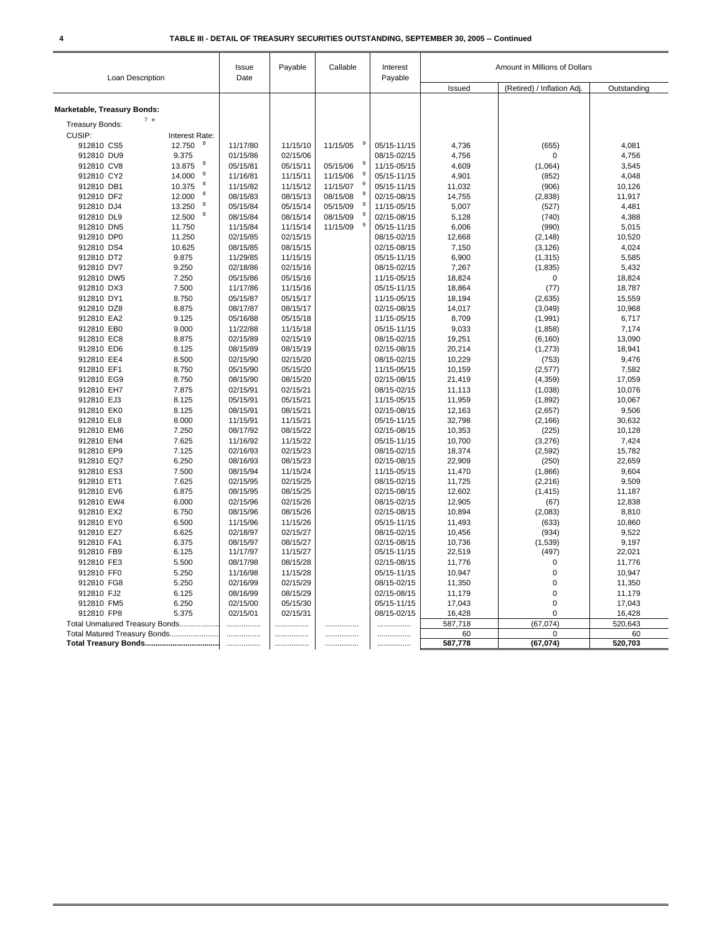| (Retired) / Inflation Adj.<br>Outstanding<br>Issued<br>Marketable, Treasury Bonds:<br>7 e<br><b>Treasury Bonds:</b><br>CUSIP:<br>Interest Rate:<br>12.750<br>8<br>912810 CS5<br>11/17/80<br>11/15/10<br>11/15/05<br>05/15-11/15<br>4,736<br>(655)<br>4,081<br>912810 DU9<br>9.375<br>01/15/86<br>02/15/06<br>08/15-02/15<br>4,756<br>4,756<br>$\mathbf 0$<br>8<br>912810 CV8<br>13.875<br>05/15/11<br>05/15/06<br>11/15-05/15<br>3,545<br>05/15/81<br>4,609<br>(1,064)<br>9<br>8<br>912810 CY2<br>14.000<br>4,901<br>4,048<br>11/16/81<br>11/15/11<br>11/15/06<br>05/15-11/15<br>(852)<br>8<br>9<br>10.375<br>11/15/07<br>05/15-11/15<br>912810 DB1<br>11/15/82<br>11/15/12<br>11,032<br>10,126<br>(906)<br>8<br>9<br>12.000<br>08/15/08<br>02/15-08/15<br>14,755<br>912810 DF2<br>08/15/83<br>08/15/13<br>(2,838)<br>11,917<br>$\boldsymbol{8}$<br>13.250<br>05/15/09<br>11/15-05/15<br>912810 DJ4<br>05/15/84<br>05/15/14<br>5,007<br>(527)<br>4,481<br>9<br>8<br>12.500<br>912810 DL9<br>08/15/84<br>08/15/14<br>08/15/09<br>02/15-08/15<br>5,128<br>(740)<br>4,388<br>g<br>11/15/09<br>912810 DN5<br>11.750<br>11/15/84<br>11/15/14<br>05/15-11/15<br>6,006<br>(990)<br>5,015<br>11.250<br>02/15/15<br>08/15-02/15<br>10,520<br>912810 DP0<br>02/15/85<br>12,668<br>(2, 148)<br>912810 DS4<br>10.625<br>08/15/85<br>08/15/15<br>02/15-08/15<br>7,150<br>4,024<br>(3, 126)<br>9.875<br>11/29/85<br>05/15-11/15<br>6,900<br>5,585<br>912810 DT2<br>11/15/15<br>(1, 315)<br>912810 DV7<br>9.250<br>02/15/16<br>08/15-02/15<br>7,267<br>(1, 835)<br>02/18/86<br>5,432<br>7.250<br>05/15/86<br>05/15/16<br>11/15-05/15<br>18,824<br>18,824<br>912810 DW5<br>$\mathbf 0$<br>912810 DX3<br>7.500<br>11/17/86<br>11/15/16<br>05/15-11/15<br>18,864<br>(77)<br>18,787<br>912810 DY1<br>8.750<br>05/15/87<br>05/15/17<br>11/15-05/15<br>18,194<br>15,559<br>(2,635)<br>912810 DZ8<br>8.875<br>08/15/17<br>02/15-08/15<br>14,017<br>10,968<br>08/17/87<br>(3,049)<br>8,709<br>912810 EA2<br>9.125<br>05/16/88<br>05/15/18<br>11/15-05/15<br>(1,991)<br>6,717<br>912810 EB0<br>9.000<br>11/22/88<br>11/15/18<br>05/15-11/15<br>9,033<br>7,174<br>(1,858)<br>02/15/19<br>08/15-02/15<br>912810 EC8<br>8.875<br>02/15/89<br>19,251<br>(6, 160)<br>13,090<br>912810 ED6<br>8.125<br>08/15/89<br>08/15/19<br>02/15-08/15<br>20,214<br>18,941<br>(1,273)<br>10,229<br>9,476<br>912810 EE4<br>8.500<br>02/15/90<br>02/15/20<br>08/15-02/15<br>(753)<br>912810 EF1<br>8.750<br>05/15/90<br>05/15/20<br>11/15-05/15<br>10,159<br>7,582<br>(2,577)<br>8.750<br>08/15/20<br>912810 EG9<br>08/15/90<br>02/15-08/15<br>21,419<br>(4, 359)<br>17,059<br>912810 EH7<br>7.875<br>02/15/91<br>02/15/21<br>08/15-02/15<br>11,113<br>(1,038)<br>10,076<br>912810 EJ3<br>8.125<br>05/15/91<br>05/15/21<br>11/15-05/15<br>11,959<br>10,067<br>(1,892)<br>912810 EK0<br>8.125<br>08/15/91<br>08/15/21<br>02/15-08/15<br>9,506<br>12,163<br>(2,657)<br>05/15-11/15<br>912810 EL8<br>8.000<br>11/15/91<br>11/15/21<br>32,798<br>(2, 166)<br>30,632<br>912810 EM6<br>7.250<br>08/17/92<br>08/15/22<br>02/15-08/15<br>10,353<br>(225)<br>10,128<br>7.625<br>11/15/22<br>05/15-11/15<br>10,700<br>7,424<br>912810 EN4<br>11/16/92<br>(3,276)<br>912810 EP9<br>7.125<br>02/15/23<br>08/15-02/15<br>18,374<br>(2, 592)<br>02/16/93<br>15,782<br>6.250<br>08/16/93<br>08/15/23<br>02/15-08/15<br>22,909<br>22,659<br>912810 EQ7<br>(250)<br>912810 ES3<br>7.500<br>08/15/94<br>11/15/24<br>11,470<br>9,604<br>11/15-05/15<br>(1,866)<br>7.625<br>02/15/25<br>08/15-02/15<br>11,725<br>912810 ET1<br>02/15/95<br>(2, 216)<br>9,509<br>912810 EV6<br>6.875<br>08/15/95<br>08/15/25<br>02/15-08/15<br>12,602<br>(1, 415)<br>11,187<br>912810 EW4<br>6.000<br>02/15/96<br>02/15/26<br>08/15-02/15<br>12,905<br>(67)<br>12,838<br>10,894<br>912810 EX2<br>6.750<br>08/15/96<br>08/15/26<br>02/15-08/15<br>(2,083)<br>8,810<br>912810 EY0<br>6.500<br>11/15/96<br>11/15/26<br>05/15-11/15<br>11,493<br>(633)<br>10,860<br>6.625<br>02/15/27<br>08/15-02/15<br>9,522<br>912810 EZ7<br>02/18/97<br>10,456<br>(934)<br>02/15-08/15<br>10,736<br>912810 FA1<br>6.375<br>08/15/97<br>08/15/27<br>(1,539)<br>9,197<br>912810 FB9<br>6.125<br>11/17/97<br>11/15/27<br>05/15-11/15<br>22,519<br>(497)<br>22,021<br>5.500<br>02/15-08/15<br>912810 FE3<br>08/17/98<br>08/15/28<br>11,776<br>$\mathbf 0$<br>11,776<br>$\mathbf 0$<br>912810 FF0<br>5.250<br>11/16/98<br>11/15/28<br>05/15-11/15<br>10,947<br>10,947<br>02/15/29<br>08/15-02/15<br>11,350<br>$\mathbf 0$<br>912810 FG8<br>5.250<br>02/16/99<br>11,350<br>912810 FJ2<br>6.125<br>08/16/99<br>08/15/29<br>02/15-08/15<br>11,179<br>0<br>11,179<br>912810 FM5<br>6.250<br>02/15/00<br>05/15/30<br>05/15-11/15<br>17,043<br>$\mathbf 0$<br>17,043<br>912810 FP8<br>5.375<br>02/15/01<br>02/15/31<br>08/15-02/15<br>16,428<br>$\Omega$<br>16,428<br>(67, 074)<br>520,643<br>587,718<br>Total Unmatured Treasury Bonds<br><br>.<br>.<br><br>Total Matured Treasury Bonds<br>60<br>0<br>60<br>.<br>.<br><br><br>(67, 074)<br>520,703<br>587,778<br><br><br>. | Loan Description | Issue<br>Date | Payable | Callable | Interest<br>Payable | Amount in Millions of Dollars |  |  |
|-----------------------------------------------------------------------------------------------------------------------------------------------------------------------------------------------------------------------------------------------------------------------------------------------------------------------------------------------------------------------------------------------------------------------------------------------------------------------------------------------------------------------------------------------------------------------------------------------------------------------------------------------------------------------------------------------------------------------------------------------------------------------------------------------------------------------------------------------------------------------------------------------------------------------------------------------------------------------------------------------------------------------------------------------------------------------------------------------------------------------------------------------------------------------------------------------------------------------------------------------------------------------------------------------------------------------------------------------------------------------------------------------------------------------------------------------------------------------------------------------------------------------------------------------------------------------------------------------------------------------------------------------------------------------------------------------------------------------------------------------------------------------------------------------------------------------------------------------------------------------------------------------------------------------------------------------------------------------------------------------------------------------------------------------------------------------------------------------------------------------------------------------------------------------------------------------------------------------------------------------------------------------------------------------------------------------------------------------------------------------------------------------------------------------------------------------------------------------------------------------------------------------------------------------------------------------------------------------------------------------------------------------------------------------------------------------------------------------------------------------------------------------------------------------------------------------------------------------------------------------------------------------------------------------------------------------------------------------------------------------------------------------------------------------------------------------------------------------------------------------------------------------------------------------------------------------------------------------------------------------------------------------------------------------------------------------------------------------------------------------------------------------------------------------------------------------------------------------------------------------------------------------------------------------------------------------------------------------------------------------------------------------------------------------------------------------------------------------------------------------------------------------------------------------------------------------------------------------------------------------------------------------------------------------------------------------------------------------------------------------------------------------------------------------------------------------------------------------------------------------------------------------------------------------------------------------------------------------------------------------------------------------------------------------------------------------------------------------------------------------------------------------------------------------------------------------------------------------------------------------------------------------------------------------------------------------------------------------------------------------------------------------------------------------------------------------------------------------------------------------------------------------------------------------------------------------------------------------------------------------------------------------------------------------------------------------------------------------------------------------------------------------------------------------------------------|------------------|---------------|---------|----------|---------------------|-------------------------------|--|--|
|                                                                                                                                                                                                                                                                                                                                                                                                                                                                                                                                                                                                                                                                                                                                                                                                                                                                                                                                                                                                                                                                                                                                                                                                                                                                                                                                                                                                                                                                                                                                                                                                                                                                                                                                                                                                                                                                                                                                                                                                                                                                                                                                                                                                                                                                                                                                                                                                                                                                                                                                                                                                                                                                                                                                                                                                                                                                                                                                                                                                                                                                                                                                                                                                                                                                                                                                                                                                                                                                                                                                                                                                                                                                                                                                                                                                                                                                                                                                                                                                                                                                                                                                                                                                                                                                                                                                                                                                                                                                                                                                                                                                                                                                                                                                                                                                                                                                                                                                                                                                                                                                 |                  |               |         |          |                     |                               |  |  |
|                                                                                                                                                                                                                                                                                                                                                                                                                                                                                                                                                                                                                                                                                                                                                                                                                                                                                                                                                                                                                                                                                                                                                                                                                                                                                                                                                                                                                                                                                                                                                                                                                                                                                                                                                                                                                                                                                                                                                                                                                                                                                                                                                                                                                                                                                                                                                                                                                                                                                                                                                                                                                                                                                                                                                                                                                                                                                                                                                                                                                                                                                                                                                                                                                                                                                                                                                                                                                                                                                                                                                                                                                                                                                                                                                                                                                                                                                                                                                                                                                                                                                                                                                                                                                                                                                                                                                                                                                                                                                                                                                                                                                                                                                                                                                                                                                                                                                                                                                                                                                                                                 |                  |               |         |          |                     |                               |  |  |
|                                                                                                                                                                                                                                                                                                                                                                                                                                                                                                                                                                                                                                                                                                                                                                                                                                                                                                                                                                                                                                                                                                                                                                                                                                                                                                                                                                                                                                                                                                                                                                                                                                                                                                                                                                                                                                                                                                                                                                                                                                                                                                                                                                                                                                                                                                                                                                                                                                                                                                                                                                                                                                                                                                                                                                                                                                                                                                                                                                                                                                                                                                                                                                                                                                                                                                                                                                                                                                                                                                                                                                                                                                                                                                                                                                                                                                                                                                                                                                                                                                                                                                                                                                                                                                                                                                                                                                                                                                                                                                                                                                                                                                                                                                                                                                                                                                                                                                                                                                                                                                                                 |                  |               |         |          |                     |                               |  |  |
|                                                                                                                                                                                                                                                                                                                                                                                                                                                                                                                                                                                                                                                                                                                                                                                                                                                                                                                                                                                                                                                                                                                                                                                                                                                                                                                                                                                                                                                                                                                                                                                                                                                                                                                                                                                                                                                                                                                                                                                                                                                                                                                                                                                                                                                                                                                                                                                                                                                                                                                                                                                                                                                                                                                                                                                                                                                                                                                                                                                                                                                                                                                                                                                                                                                                                                                                                                                                                                                                                                                                                                                                                                                                                                                                                                                                                                                                                                                                                                                                                                                                                                                                                                                                                                                                                                                                                                                                                                                                                                                                                                                                                                                                                                                                                                                                                                                                                                                                                                                                                                                                 |                  |               |         |          |                     |                               |  |  |
|                                                                                                                                                                                                                                                                                                                                                                                                                                                                                                                                                                                                                                                                                                                                                                                                                                                                                                                                                                                                                                                                                                                                                                                                                                                                                                                                                                                                                                                                                                                                                                                                                                                                                                                                                                                                                                                                                                                                                                                                                                                                                                                                                                                                                                                                                                                                                                                                                                                                                                                                                                                                                                                                                                                                                                                                                                                                                                                                                                                                                                                                                                                                                                                                                                                                                                                                                                                                                                                                                                                                                                                                                                                                                                                                                                                                                                                                                                                                                                                                                                                                                                                                                                                                                                                                                                                                                                                                                                                                                                                                                                                                                                                                                                                                                                                                                                                                                                                                                                                                                                                                 |                  |               |         |          |                     |                               |  |  |
|                                                                                                                                                                                                                                                                                                                                                                                                                                                                                                                                                                                                                                                                                                                                                                                                                                                                                                                                                                                                                                                                                                                                                                                                                                                                                                                                                                                                                                                                                                                                                                                                                                                                                                                                                                                                                                                                                                                                                                                                                                                                                                                                                                                                                                                                                                                                                                                                                                                                                                                                                                                                                                                                                                                                                                                                                                                                                                                                                                                                                                                                                                                                                                                                                                                                                                                                                                                                                                                                                                                                                                                                                                                                                                                                                                                                                                                                                                                                                                                                                                                                                                                                                                                                                                                                                                                                                                                                                                                                                                                                                                                                                                                                                                                                                                                                                                                                                                                                                                                                                                                                 |                  |               |         |          |                     |                               |  |  |
|                                                                                                                                                                                                                                                                                                                                                                                                                                                                                                                                                                                                                                                                                                                                                                                                                                                                                                                                                                                                                                                                                                                                                                                                                                                                                                                                                                                                                                                                                                                                                                                                                                                                                                                                                                                                                                                                                                                                                                                                                                                                                                                                                                                                                                                                                                                                                                                                                                                                                                                                                                                                                                                                                                                                                                                                                                                                                                                                                                                                                                                                                                                                                                                                                                                                                                                                                                                                                                                                                                                                                                                                                                                                                                                                                                                                                                                                                                                                                                                                                                                                                                                                                                                                                                                                                                                                                                                                                                                                                                                                                                                                                                                                                                                                                                                                                                                                                                                                                                                                                                                                 |                  |               |         |          |                     |                               |  |  |
|                                                                                                                                                                                                                                                                                                                                                                                                                                                                                                                                                                                                                                                                                                                                                                                                                                                                                                                                                                                                                                                                                                                                                                                                                                                                                                                                                                                                                                                                                                                                                                                                                                                                                                                                                                                                                                                                                                                                                                                                                                                                                                                                                                                                                                                                                                                                                                                                                                                                                                                                                                                                                                                                                                                                                                                                                                                                                                                                                                                                                                                                                                                                                                                                                                                                                                                                                                                                                                                                                                                                                                                                                                                                                                                                                                                                                                                                                                                                                                                                                                                                                                                                                                                                                                                                                                                                                                                                                                                                                                                                                                                                                                                                                                                                                                                                                                                                                                                                                                                                                                                                 |                  |               |         |          |                     |                               |  |  |
|                                                                                                                                                                                                                                                                                                                                                                                                                                                                                                                                                                                                                                                                                                                                                                                                                                                                                                                                                                                                                                                                                                                                                                                                                                                                                                                                                                                                                                                                                                                                                                                                                                                                                                                                                                                                                                                                                                                                                                                                                                                                                                                                                                                                                                                                                                                                                                                                                                                                                                                                                                                                                                                                                                                                                                                                                                                                                                                                                                                                                                                                                                                                                                                                                                                                                                                                                                                                                                                                                                                                                                                                                                                                                                                                                                                                                                                                                                                                                                                                                                                                                                                                                                                                                                                                                                                                                                                                                                                                                                                                                                                                                                                                                                                                                                                                                                                                                                                                                                                                                                                                 |                  |               |         |          |                     |                               |  |  |
|                                                                                                                                                                                                                                                                                                                                                                                                                                                                                                                                                                                                                                                                                                                                                                                                                                                                                                                                                                                                                                                                                                                                                                                                                                                                                                                                                                                                                                                                                                                                                                                                                                                                                                                                                                                                                                                                                                                                                                                                                                                                                                                                                                                                                                                                                                                                                                                                                                                                                                                                                                                                                                                                                                                                                                                                                                                                                                                                                                                                                                                                                                                                                                                                                                                                                                                                                                                                                                                                                                                                                                                                                                                                                                                                                                                                                                                                                                                                                                                                                                                                                                                                                                                                                                                                                                                                                                                                                                                                                                                                                                                                                                                                                                                                                                                                                                                                                                                                                                                                                                                                 |                  |               |         |          |                     |                               |  |  |
|                                                                                                                                                                                                                                                                                                                                                                                                                                                                                                                                                                                                                                                                                                                                                                                                                                                                                                                                                                                                                                                                                                                                                                                                                                                                                                                                                                                                                                                                                                                                                                                                                                                                                                                                                                                                                                                                                                                                                                                                                                                                                                                                                                                                                                                                                                                                                                                                                                                                                                                                                                                                                                                                                                                                                                                                                                                                                                                                                                                                                                                                                                                                                                                                                                                                                                                                                                                                                                                                                                                                                                                                                                                                                                                                                                                                                                                                                                                                                                                                                                                                                                                                                                                                                                                                                                                                                                                                                                                                                                                                                                                                                                                                                                                                                                                                                                                                                                                                                                                                                                                                 |                  |               |         |          |                     |                               |  |  |
|                                                                                                                                                                                                                                                                                                                                                                                                                                                                                                                                                                                                                                                                                                                                                                                                                                                                                                                                                                                                                                                                                                                                                                                                                                                                                                                                                                                                                                                                                                                                                                                                                                                                                                                                                                                                                                                                                                                                                                                                                                                                                                                                                                                                                                                                                                                                                                                                                                                                                                                                                                                                                                                                                                                                                                                                                                                                                                                                                                                                                                                                                                                                                                                                                                                                                                                                                                                                                                                                                                                                                                                                                                                                                                                                                                                                                                                                                                                                                                                                                                                                                                                                                                                                                                                                                                                                                                                                                                                                                                                                                                                                                                                                                                                                                                                                                                                                                                                                                                                                                                                                 |                  |               |         |          |                     |                               |  |  |
|                                                                                                                                                                                                                                                                                                                                                                                                                                                                                                                                                                                                                                                                                                                                                                                                                                                                                                                                                                                                                                                                                                                                                                                                                                                                                                                                                                                                                                                                                                                                                                                                                                                                                                                                                                                                                                                                                                                                                                                                                                                                                                                                                                                                                                                                                                                                                                                                                                                                                                                                                                                                                                                                                                                                                                                                                                                                                                                                                                                                                                                                                                                                                                                                                                                                                                                                                                                                                                                                                                                                                                                                                                                                                                                                                                                                                                                                                                                                                                                                                                                                                                                                                                                                                                                                                                                                                                                                                                                                                                                                                                                                                                                                                                                                                                                                                                                                                                                                                                                                                                                                 |                  |               |         |          |                     |                               |  |  |
|                                                                                                                                                                                                                                                                                                                                                                                                                                                                                                                                                                                                                                                                                                                                                                                                                                                                                                                                                                                                                                                                                                                                                                                                                                                                                                                                                                                                                                                                                                                                                                                                                                                                                                                                                                                                                                                                                                                                                                                                                                                                                                                                                                                                                                                                                                                                                                                                                                                                                                                                                                                                                                                                                                                                                                                                                                                                                                                                                                                                                                                                                                                                                                                                                                                                                                                                                                                                                                                                                                                                                                                                                                                                                                                                                                                                                                                                                                                                                                                                                                                                                                                                                                                                                                                                                                                                                                                                                                                                                                                                                                                                                                                                                                                                                                                                                                                                                                                                                                                                                                                                 |                  |               |         |          |                     |                               |  |  |
|                                                                                                                                                                                                                                                                                                                                                                                                                                                                                                                                                                                                                                                                                                                                                                                                                                                                                                                                                                                                                                                                                                                                                                                                                                                                                                                                                                                                                                                                                                                                                                                                                                                                                                                                                                                                                                                                                                                                                                                                                                                                                                                                                                                                                                                                                                                                                                                                                                                                                                                                                                                                                                                                                                                                                                                                                                                                                                                                                                                                                                                                                                                                                                                                                                                                                                                                                                                                                                                                                                                                                                                                                                                                                                                                                                                                                                                                                                                                                                                                                                                                                                                                                                                                                                                                                                                                                                                                                                                                                                                                                                                                                                                                                                                                                                                                                                                                                                                                                                                                                                                                 |                  |               |         |          |                     |                               |  |  |
|                                                                                                                                                                                                                                                                                                                                                                                                                                                                                                                                                                                                                                                                                                                                                                                                                                                                                                                                                                                                                                                                                                                                                                                                                                                                                                                                                                                                                                                                                                                                                                                                                                                                                                                                                                                                                                                                                                                                                                                                                                                                                                                                                                                                                                                                                                                                                                                                                                                                                                                                                                                                                                                                                                                                                                                                                                                                                                                                                                                                                                                                                                                                                                                                                                                                                                                                                                                                                                                                                                                                                                                                                                                                                                                                                                                                                                                                                                                                                                                                                                                                                                                                                                                                                                                                                                                                                                                                                                                                                                                                                                                                                                                                                                                                                                                                                                                                                                                                                                                                                                                                 |                  |               |         |          |                     |                               |  |  |
|                                                                                                                                                                                                                                                                                                                                                                                                                                                                                                                                                                                                                                                                                                                                                                                                                                                                                                                                                                                                                                                                                                                                                                                                                                                                                                                                                                                                                                                                                                                                                                                                                                                                                                                                                                                                                                                                                                                                                                                                                                                                                                                                                                                                                                                                                                                                                                                                                                                                                                                                                                                                                                                                                                                                                                                                                                                                                                                                                                                                                                                                                                                                                                                                                                                                                                                                                                                                                                                                                                                                                                                                                                                                                                                                                                                                                                                                                                                                                                                                                                                                                                                                                                                                                                                                                                                                                                                                                                                                                                                                                                                                                                                                                                                                                                                                                                                                                                                                                                                                                                                                 |                  |               |         |          |                     |                               |  |  |
|                                                                                                                                                                                                                                                                                                                                                                                                                                                                                                                                                                                                                                                                                                                                                                                                                                                                                                                                                                                                                                                                                                                                                                                                                                                                                                                                                                                                                                                                                                                                                                                                                                                                                                                                                                                                                                                                                                                                                                                                                                                                                                                                                                                                                                                                                                                                                                                                                                                                                                                                                                                                                                                                                                                                                                                                                                                                                                                                                                                                                                                                                                                                                                                                                                                                                                                                                                                                                                                                                                                                                                                                                                                                                                                                                                                                                                                                                                                                                                                                                                                                                                                                                                                                                                                                                                                                                                                                                                                                                                                                                                                                                                                                                                                                                                                                                                                                                                                                                                                                                                                                 |                  |               |         |          |                     |                               |  |  |
|                                                                                                                                                                                                                                                                                                                                                                                                                                                                                                                                                                                                                                                                                                                                                                                                                                                                                                                                                                                                                                                                                                                                                                                                                                                                                                                                                                                                                                                                                                                                                                                                                                                                                                                                                                                                                                                                                                                                                                                                                                                                                                                                                                                                                                                                                                                                                                                                                                                                                                                                                                                                                                                                                                                                                                                                                                                                                                                                                                                                                                                                                                                                                                                                                                                                                                                                                                                                                                                                                                                                                                                                                                                                                                                                                                                                                                                                                                                                                                                                                                                                                                                                                                                                                                                                                                                                                                                                                                                                                                                                                                                                                                                                                                                                                                                                                                                                                                                                                                                                                                                                 |                  |               |         |          |                     |                               |  |  |
|                                                                                                                                                                                                                                                                                                                                                                                                                                                                                                                                                                                                                                                                                                                                                                                                                                                                                                                                                                                                                                                                                                                                                                                                                                                                                                                                                                                                                                                                                                                                                                                                                                                                                                                                                                                                                                                                                                                                                                                                                                                                                                                                                                                                                                                                                                                                                                                                                                                                                                                                                                                                                                                                                                                                                                                                                                                                                                                                                                                                                                                                                                                                                                                                                                                                                                                                                                                                                                                                                                                                                                                                                                                                                                                                                                                                                                                                                                                                                                                                                                                                                                                                                                                                                                                                                                                                                                                                                                                                                                                                                                                                                                                                                                                                                                                                                                                                                                                                                                                                                                                                 |                  |               |         |          |                     |                               |  |  |
|                                                                                                                                                                                                                                                                                                                                                                                                                                                                                                                                                                                                                                                                                                                                                                                                                                                                                                                                                                                                                                                                                                                                                                                                                                                                                                                                                                                                                                                                                                                                                                                                                                                                                                                                                                                                                                                                                                                                                                                                                                                                                                                                                                                                                                                                                                                                                                                                                                                                                                                                                                                                                                                                                                                                                                                                                                                                                                                                                                                                                                                                                                                                                                                                                                                                                                                                                                                                                                                                                                                                                                                                                                                                                                                                                                                                                                                                                                                                                                                                                                                                                                                                                                                                                                                                                                                                                                                                                                                                                                                                                                                                                                                                                                                                                                                                                                                                                                                                                                                                                                                                 |                  |               |         |          |                     |                               |  |  |
|                                                                                                                                                                                                                                                                                                                                                                                                                                                                                                                                                                                                                                                                                                                                                                                                                                                                                                                                                                                                                                                                                                                                                                                                                                                                                                                                                                                                                                                                                                                                                                                                                                                                                                                                                                                                                                                                                                                                                                                                                                                                                                                                                                                                                                                                                                                                                                                                                                                                                                                                                                                                                                                                                                                                                                                                                                                                                                                                                                                                                                                                                                                                                                                                                                                                                                                                                                                                                                                                                                                                                                                                                                                                                                                                                                                                                                                                                                                                                                                                                                                                                                                                                                                                                                                                                                                                                                                                                                                                                                                                                                                                                                                                                                                                                                                                                                                                                                                                                                                                                                                                 |                  |               |         |          |                     |                               |  |  |
|                                                                                                                                                                                                                                                                                                                                                                                                                                                                                                                                                                                                                                                                                                                                                                                                                                                                                                                                                                                                                                                                                                                                                                                                                                                                                                                                                                                                                                                                                                                                                                                                                                                                                                                                                                                                                                                                                                                                                                                                                                                                                                                                                                                                                                                                                                                                                                                                                                                                                                                                                                                                                                                                                                                                                                                                                                                                                                                                                                                                                                                                                                                                                                                                                                                                                                                                                                                                                                                                                                                                                                                                                                                                                                                                                                                                                                                                                                                                                                                                                                                                                                                                                                                                                                                                                                                                                                                                                                                                                                                                                                                                                                                                                                                                                                                                                                                                                                                                                                                                                                                                 |                  |               |         |          |                     |                               |  |  |
|                                                                                                                                                                                                                                                                                                                                                                                                                                                                                                                                                                                                                                                                                                                                                                                                                                                                                                                                                                                                                                                                                                                                                                                                                                                                                                                                                                                                                                                                                                                                                                                                                                                                                                                                                                                                                                                                                                                                                                                                                                                                                                                                                                                                                                                                                                                                                                                                                                                                                                                                                                                                                                                                                                                                                                                                                                                                                                                                                                                                                                                                                                                                                                                                                                                                                                                                                                                                                                                                                                                                                                                                                                                                                                                                                                                                                                                                                                                                                                                                                                                                                                                                                                                                                                                                                                                                                                                                                                                                                                                                                                                                                                                                                                                                                                                                                                                                                                                                                                                                                                                                 |                  |               |         |          |                     |                               |  |  |
|                                                                                                                                                                                                                                                                                                                                                                                                                                                                                                                                                                                                                                                                                                                                                                                                                                                                                                                                                                                                                                                                                                                                                                                                                                                                                                                                                                                                                                                                                                                                                                                                                                                                                                                                                                                                                                                                                                                                                                                                                                                                                                                                                                                                                                                                                                                                                                                                                                                                                                                                                                                                                                                                                                                                                                                                                                                                                                                                                                                                                                                                                                                                                                                                                                                                                                                                                                                                                                                                                                                                                                                                                                                                                                                                                                                                                                                                                                                                                                                                                                                                                                                                                                                                                                                                                                                                                                                                                                                                                                                                                                                                                                                                                                                                                                                                                                                                                                                                                                                                                                                                 |                  |               |         |          |                     |                               |  |  |
|                                                                                                                                                                                                                                                                                                                                                                                                                                                                                                                                                                                                                                                                                                                                                                                                                                                                                                                                                                                                                                                                                                                                                                                                                                                                                                                                                                                                                                                                                                                                                                                                                                                                                                                                                                                                                                                                                                                                                                                                                                                                                                                                                                                                                                                                                                                                                                                                                                                                                                                                                                                                                                                                                                                                                                                                                                                                                                                                                                                                                                                                                                                                                                                                                                                                                                                                                                                                                                                                                                                                                                                                                                                                                                                                                                                                                                                                                                                                                                                                                                                                                                                                                                                                                                                                                                                                                                                                                                                                                                                                                                                                                                                                                                                                                                                                                                                                                                                                                                                                                                                                 |                  |               |         |          |                     |                               |  |  |
|                                                                                                                                                                                                                                                                                                                                                                                                                                                                                                                                                                                                                                                                                                                                                                                                                                                                                                                                                                                                                                                                                                                                                                                                                                                                                                                                                                                                                                                                                                                                                                                                                                                                                                                                                                                                                                                                                                                                                                                                                                                                                                                                                                                                                                                                                                                                                                                                                                                                                                                                                                                                                                                                                                                                                                                                                                                                                                                                                                                                                                                                                                                                                                                                                                                                                                                                                                                                                                                                                                                                                                                                                                                                                                                                                                                                                                                                                                                                                                                                                                                                                                                                                                                                                                                                                                                                                                                                                                                                                                                                                                                                                                                                                                                                                                                                                                                                                                                                                                                                                                                                 |                  |               |         |          |                     |                               |  |  |
|                                                                                                                                                                                                                                                                                                                                                                                                                                                                                                                                                                                                                                                                                                                                                                                                                                                                                                                                                                                                                                                                                                                                                                                                                                                                                                                                                                                                                                                                                                                                                                                                                                                                                                                                                                                                                                                                                                                                                                                                                                                                                                                                                                                                                                                                                                                                                                                                                                                                                                                                                                                                                                                                                                                                                                                                                                                                                                                                                                                                                                                                                                                                                                                                                                                                                                                                                                                                                                                                                                                                                                                                                                                                                                                                                                                                                                                                                                                                                                                                                                                                                                                                                                                                                                                                                                                                                                                                                                                                                                                                                                                                                                                                                                                                                                                                                                                                                                                                                                                                                                                                 |                  |               |         |          |                     |                               |  |  |
|                                                                                                                                                                                                                                                                                                                                                                                                                                                                                                                                                                                                                                                                                                                                                                                                                                                                                                                                                                                                                                                                                                                                                                                                                                                                                                                                                                                                                                                                                                                                                                                                                                                                                                                                                                                                                                                                                                                                                                                                                                                                                                                                                                                                                                                                                                                                                                                                                                                                                                                                                                                                                                                                                                                                                                                                                                                                                                                                                                                                                                                                                                                                                                                                                                                                                                                                                                                                                                                                                                                                                                                                                                                                                                                                                                                                                                                                                                                                                                                                                                                                                                                                                                                                                                                                                                                                                                                                                                                                                                                                                                                                                                                                                                                                                                                                                                                                                                                                                                                                                                                                 |                  |               |         |          |                     |                               |  |  |
|                                                                                                                                                                                                                                                                                                                                                                                                                                                                                                                                                                                                                                                                                                                                                                                                                                                                                                                                                                                                                                                                                                                                                                                                                                                                                                                                                                                                                                                                                                                                                                                                                                                                                                                                                                                                                                                                                                                                                                                                                                                                                                                                                                                                                                                                                                                                                                                                                                                                                                                                                                                                                                                                                                                                                                                                                                                                                                                                                                                                                                                                                                                                                                                                                                                                                                                                                                                                                                                                                                                                                                                                                                                                                                                                                                                                                                                                                                                                                                                                                                                                                                                                                                                                                                                                                                                                                                                                                                                                                                                                                                                                                                                                                                                                                                                                                                                                                                                                                                                                                                                                 |                  |               |         |          |                     |                               |  |  |
|                                                                                                                                                                                                                                                                                                                                                                                                                                                                                                                                                                                                                                                                                                                                                                                                                                                                                                                                                                                                                                                                                                                                                                                                                                                                                                                                                                                                                                                                                                                                                                                                                                                                                                                                                                                                                                                                                                                                                                                                                                                                                                                                                                                                                                                                                                                                                                                                                                                                                                                                                                                                                                                                                                                                                                                                                                                                                                                                                                                                                                                                                                                                                                                                                                                                                                                                                                                                                                                                                                                                                                                                                                                                                                                                                                                                                                                                                                                                                                                                                                                                                                                                                                                                                                                                                                                                                                                                                                                                                                                                                                                                                                                                                                                                                                                                                                                                                                                                                                                                                                                                 |                  |               |         |          |                     |                               |  |  |
|                                                                                                                                                                                                                                                                                                                                                                                                                                                                                                                                                                                                                                                                                                                                                                                                                                                                                                                                                                                                                                                                                                                                                                                                                                                                                                                                                                                                                                                                                                                                                                                                                                                                                                                                                                                                                                                                                                                                                                                                                                                                                                                                                                                                                                                                                                                                                                                                                                                                                                                                                                                                                                                                                                                                                                                                                                                                                                                                                                                                                                                                                                                                                                                                                                                                                                                                                                                                                                                                                                                                                                                                                                                                                                                                                                                                                                                                                                                                                                                                                                                                                                                                                                                                                                                                                                                                                                                                                                                                                                                                                                                                                                                                                                                                                                                                                                                                                                                                                                                                                                                                 |                  |               |         |          |                     |                               |  |  |
|                                                                                                                                                                                                                                                                                                                                                                                                                                                                                                                                                                                                                                                                                                                                                                                                                                                                                                                                                                                                                                                                                                                                                                                                                                                                                                                                                                                                                                                                                                                                                                                                                                                                                                                                                                                                                                                                                                                                                                                                                                                                                                                                                                                                                                                                                                                                                                                                                                                                                                                                                                                                                                                                                                                                                                                                                                                                                                                                                                                                                                                                                                                                                                                                                                                                                                                                                                                                                                                                                                                                                                                                                                                                                                                                                                                                                                                                                                                                                                                                                                                                                                                                                                                                                                                                                                                                                                                                                                                                                                                                                                                                                                                                                                                                                                                                                                                                                                                                                                                                                                                                 |                  |               |         |          |                     |                               |  |  |
|                                                                                                                                                                                                                                                                                                                                                                                                                                                                                                                                                                                                                                                                                                                                                                                                                                                                                                                                                                                                                                                                                                                                                                                                                                                                                                                                                                                                                                                                                                                                                                                                                                                                                                                                                                                                                                                                                                                                                                                                                                                                                                                                                                                                                                                                                                                                                                                                                                                                                                                                                                                                                                                                                                                                                                                                                                                                                                                                                                                                                                                                                                                                                                                                                                                                                                                                                                                                                                                                                                                                                                                                                                                                                                                                                                                                                                                                                                                                                                                                                                                                                                                                                                                                                                                                                                                                                                                                                                                                                                                                                                                                                                                                                                                                                                                                                                                                                                                                                                                                                                                                 |                  |               |         |          |                     |                               |  |  |
|                                                                                                                                                                                                                                                                                                                                                                                                                                                                                                                                                                                                                                                                                                                                                                                                                                                                                                                                                                                                                                                                                                                                                                                                                                                                                                                                                                                                                                                                                                                                                                                                                                                                                                                                                                                                                                                                                                                                                                                                                                                                                                                                                                                                                                                                                                                                                                                                                                                                                                                                                                                                                                                                                                                                                                                                                                                                                                                                                                                                                                                                                                                                                                                                                                                                                                                                                                                                                                                                                                                                                                                                                                                                                                                                                                                                                                                                                                                                                                                                                                                                                                                                                                                                                                                                                                                                                                                                                                                                                                                                                                                                                                                                                                                                                                                                                                                                                                                                                                                                                                                                 |                  |               |         |          |                     |                               |  |  |
|                                                                                                                                                                                                                                                                                                                                                                                                                                                                                                                                                                                                                                                                                                                                                                                                                                                                                                                                                                                                                                                                                                                                                                                                                                                                                                                                                                                                                                                                                                                                                                                                                                                                                                                                                                                                                                                                                                                                                                                                                                                                                                                                                                                                                                                                                                                                                                                                                                                                                                                                                                                                                                                                                                                                                                                                                                                                                                                                                                                                                                                                                                                                                                                                                                                                                                                                                                                                                                                                                                                                                                                                                                                                                                                                                                                                                                                                                                                                                                                                                                                                                                                                                                                                                                                                                                                                                                                                                                                                                                                                                                                                                                                                                                                                                                                                                                                                                                                                                                                                                                                                 |                  |               |         |          |                     |                               |  |  |
|                                                                                                                                                                                                                                                                                                                                                                                                                                                                                                                                                                                                                                                                                                                                                                                                                                                                                                                                                                                                                                                                                                                                                                                                                                                                                                                                                                                                                                                                                                                                                                                                                                                                                                                                                                                                                                                                                                                                                                                                                                                                                                                                                                                                                                                                                                                                                                                                                                                                                                                                                                                                                                                                                                                                                                                                                                                                                                                                                                                                                                                                                                                                                                                                                                                                                                                                                                                                                                                                                                                                                                                                                                                                                                                                                                                                                                                                                                                                                                                                                                                                                                                                                                                                                                                                                                                                                                                                                                                                                                                                                                                                                                                                                                                                                                                                                                                                                                                                                                                                                                                                 |                  |               |         |          |                     |                               |  |  |
|                                                                                                                                                                                                                                                                                                                                                                                                                                                                                                                                                                                                                                                                                                                                                                                                                                                                                                                                                                                                                                                                                                                                                                                                                                                                                                                                                                                                                                                                                                                                                                                                                                                                                                                                                                                                                                                                                                                                                                                                                                                                                                                                                                                                                                                                                                                                                                                                                                                                                                                                                                                                                                                                                                                                                                                                                                                                                                                                                                                                                                                                                                                                                                                                                                                                                                                                                                                                                                                                                                                                                                                                                                                                                                                                                                                                                                                                                                                                                                                                                                                                                                                                                                                                                                                                                                                                                                                                                                                                                                                                                                                                                                                                                                                                                                                                                                                                                                                                                                                                                                                                 |                  |               |         |          |                     |                               |  |  |
|                                                                                                                                                                                                                                                                                                                                                                                                                                                                                                                                                                                                                                                                                                                                                                                                                                                                                                                                                                                                                                                                                                                                                                                                                                                                                                                                                                                                                                                                                                                                                                                                                                                                                                                                                                                                                                                                                                                                                                                                                                                                                                                                                                                                                                                                                                                                                                                                                                                                                                                                                                                                                                                                                                                                                                                                                                                                                                                                                                                                                                                                                                                                                                                                                                                                                                                                                                                                                                                                                                                                                                                                                                                                                                                                                                                                                                                                                                                                                                                                                                                                                                                                                                                                                                                                                                                                                                                                                                                                                                                                                                                                                                                                                                                                                                                                                                                                                                                                                                                                                                                                 |                  |               |         |          |                     |                               |  |  |
|                                                                                                                                                                                                                                                                                                                                                                                                                                                                                                                                                                                                                                                                                                                                                                                                                                                                                                                                                                                                                                                                                                                                                                                                                                                                                                                                                                                                                                                                                                                                                                                                                                                                                                                                                                                                                                                                                                                                                                                                                                                                                                                                                                                                                                                                                                                                                                                                                                                                                                                                                                                                                                                                                                                                                                                                                                                                                                                                                                                                                                                                                                                                                                                                                                                                                                                                                                                                                                                                                                                                                                                                                                                                                                                                                                                                                                                                                                                                                                                                                                                                                                                                                                                                                                                                                                                                                                                                                                                                                                                                                                                                                                                                                                                                                                                                                                                                                                                                                                                                                                                                 |                  |               |         |          |                     |                               |  |  |
|                                                                                                                                                                                                                                                                                                                                                                                                                                                                                                                                                                                                                                                                                                                                                                                                                                                                                                                                                                                                                                                                                                                                                                                                                                                                                                                                                                                                                                                                                                                                                                                                                                                                                                                                                                                                                                                                                                                                                                                                                                                                                                                                                                                                                                                                                                                                                                                                                                                                                                                                                                                                                                                                                                                                                                                                                                                                                                                                                                                                                                                                                                                                                                                                                                                                                                                                                                                                                                                                                                                                                                                                                                                                                                                                                                                                                                                                                                                                                                                                                                                                                                                                                                                                                                                                                                                                                                                                                                                                                                                                                                                                                                                                                                                                                                                                                                                                                                                                                                                                                                                                 |                  |               |         |          |                     |                               |  |  |
|                                                                                                                                                                                                                                                                                                                                                                                                                                                                                                                                                                                                                                                                                                                                                                                                                                                                                                                                                                                                                                                                                                                                                                                                                                                                                                                                                                                                                                                                                                                                                                                                                                                                                                                                                                                                                                                                                                                                                                                                                                                                                                                                                                                                                                                                                                                                                                                                                                                                                                                                                                                                                                                                                                                                                                                                                                                                                                                                                                                                                                                                                                                                                                                                                                                                                                                                                                                                                                                                                                                                                                                                                                                                                                                                                                                                                                                                                                                                                                                                                                                                                                                                                                                                                                                                                                                                                                                                                                                                                                                                                                                                                                                                                                                                                                                                                                                                                                                                                                                                                                                                 |                  |               |         |          |                     |                               |  |  |
|                                                                                                                                                                                                                                                                                                                                                                                                                                                                                                                                                                                                                                                                                                                                                                                                                                                                                                                                                                                                                                                                                                                                                                                                                                                                                                                                                                                                                                                                                                                                                                                                                                                                                                                                                                                                                                                                                                                                                                                                                                                                                                                                                                                                                                                                                                                                                                                                                                                                                                                                                                                                                                                                                                                                                                                                                                                                                                                                                                                                                                                                                                                                                                                                                                                                                                                                                                                                                                                                                                                                                                                                                                                                                                                                                                                                                                                                                                                                                                                                                                                                                                                                                                                                                                                                                                                                                                                                                                                                                                                                                                                                                                                                                                                                                                                                                                                                                                                                                                                                                                                                 |                  |               |         |          |                     |                               |  |  |
|                                                                                                                                                                                                                                                                                                                                                                                                                                                                                                                                                                                                                                                                                                                                                                                                                                                                                                                                                                                                                                                                                                                                                                                                                                                                                                                                                                                                                                                                                                                                                                                                                                                                                                                                                                                                                                                                                                                                                                                                                                                                                                                                                                                                                                                                                                                                                                                                                                                                                                                                                                                                                                                                                                                                                                                                                                                                                                                                                                                                                                                                                                                                                                                                                                                                                                                                                                                                                                                                                                                                                                                                                                                                                                                                                                                                                                                                                                                                                                                                                                                                                                                                                                                                                                                                                                                                                                                                                                                                                                                                                                                                                                                                                                                                                                                                                                                                                                                                                                                                                                                                 |                  |               |         |          |                     |                               |  |  |
|                                                                                                                                                                                                                                                                                                                                                                                                                                                                                                                                                                                                                                                                                                                                                                                                                                                                                                                                                                                                                                                                                                                                                                                                                                                                                                                                                                                                                                                                                                                                                                                                                                                                                                                                                                                                                                                                                                                                                                                                                                                                                                                                                                                                                                                                                                                                                                                                                                                                                                                                                                                                                                                                                                                                                                                                                                                                                                                                                                                                                                                                                                                                                                                                                                                                                                                                                                                                                                                                                                                                                                                                                                                                                                                                                                                                                                                                                                                                                                                                                                                                                                                                                                                                                                                                                                                                                                                                                                                                                                                                                                                                                                                                                                                                                                                                                                                                                                                                                                                                                                                                 |                  |               |         |          |                     |                               |  |  |
|                                                                                                                                                                                                                                                                                                                                                                                                                                                                                                                                                                                                                                                                                                                                                                                                                                                                                                                                                                                                                                                                                                                                                                                                                                                                                                                                                                                                                                                                                                                                                                                                                                                                                                                                                                                                                                                                                                                                                                                                                                                                                                                                                                                                                                                                                                                                                                                                                                                                                                                                                                                                                                                                                                                                                                                                                                                                                                                                                                                                                                                                                                                                                                                                                                                                                                                                                                                                                                                                                                                                                                                                                                                                                                                                                                                                                                                                                                                                                                                                                                                                                                                                                                                                                                                                                                                                                                                                                                                                                                                                                                                                                                                                                                                                                                                                                                                                                                                                                                                                                                                                 |                  |               |         |          |                     |                               |  |  |
|                                                                                                                                                                                                                                                                                                                                                                                                                                                                                                                                                                                                                                                                                                                                                                                                                                                                                                                                                                                                                                                                                                                                                                                                                                                                                                                                                                                                                                                                                                                                                                                                                                                                                                                                                                                                                                                                                                                                                                                                                                                                                                                                                                                                                                                                                                                                                                                                                                                                                                                                                                                                                                                                                                                                                                                                                                                                                                                                                                                                                                                                                                                                                                                                                                                                                                                                                                                                                                                                                                                                                                                                                                                                                                                                                                                                                                                                                                                                                                                                                                                                                                                                                                                                                                                                                                                                                                                                                                                                                                                                                                                                                                                                                                                                                                                                                                                                                                                                                                                                                                                                 |                  |               |         |          |                     |                               |  |  |
|                                                                                                                                                                                                                                                                                                                                                                                                                                                                                                                                                                                                                                                                                                                                                                                                                                                                                                                                                                                                                                                                                                                                                                                                                                                                                                                                                                                                                                                                                                                                                                                                                                                                                                                                                                                                                                                                                                                                                                                                                                                                                                                                                                                                                                                                                                                                                                                                                                                                                                                                                                                                                                                                                                                                                                                                                                                                                                                                                                                                                                                                                                                                                                                                                                                                                                                                                                                                                                                                                                                                                                                                                                                                                                                                                                                                                                                                                                                                                                                                                                                                                                                                                                                                                                                                                                                                                                                                                                                                                                                                                                                                                                                                                                                                                                                                                                                                                                                                                                                                                                                                 |                  |               |         |          |                     |                               |  |  |
|                                                                                                                                                                                                                                                                                                                                                                                                                                                                                                                                                                                                                                                                                                                                                                                                                                                                                                                                                                                                                                                                                                                                                                                                                                                                                                                                                                                                                                                                                                                                                                                                                                                                                                                                                                                                                                                                                                                                                                                                                                                                                                                                                                                                                                                                                                                                                                                                                                                                                                                                                                                                                                                                                                                                                                                                                                                                                                                                                                                                                                                                                                                                                                                                                                                                                                                                                                                                                                                                                                                                                                                                                                                                                                                                                                                                                                                                                                                                                                                                                                                                                                                                                                                                                                                                                                                                                                                                                                                                                                                                                                                                                                                                                                                                                                                                                                                                                                                                                                                                                                                                 |                  |               |         |          |                     |                               |  |  |
|                                                                                                                                                                                                                                                                                                                                                                                                                                                                                                                                                                                                                                                                                                                                                                                                                                                                                                                                                                                                                                                                                                                                                                                                                                                                                                                                                                                                                                                                                                                                                                                                                                                                                                                                                                                                                                                                                                                                                                                                                                                                                                                                                                                                                                                                                                                                                                                                                                                                                                                                                                                                                                                                                                                                                                                                                                                                                                                                                                                                                                                                                                                                                                                                                                                                                                                                                                                                                                                                                                                                                                                                                                                                                                                                                                                                                                                                                                                                                                                                                                                                                                                                                                                                                                                                                                                                                                                                                                                                                                                                                                                                                                                                                                                                                                                                                                                                                                                                                                                                                                                                 |                  |               |         |          |                     |                               |  |  |
|                                                                                                                                                                                                                                                                                                                                                                                                                                                                                                                                                                                                                                                                                                                                                                                                                                                                                                                                                                                                                                                                                                                                                                                                                                                                                                                                                                                                                                                                                                                                                                                                                                                                                                                                                                                                                                                                                                                                                                                                                                                                                                                                                                                                                                                                                                                                                                                                                                                                                                                                                                                                                                                                                                                                                                                                                                                                                                                                                                                                                                                                                                                                                                                                                                                                                                                                                                                                                                                                                                                                                                                                                                                                                                                                                                                                                                                                                                                                                                                                                                                                                                                                                                                                                                                                                                                                                                                                                                                                                                                                                                                                                                                                                                                                                                                                                                                                                                                                                                                                                                                                 |                  |               |         |          |                     |                               |  |  |
|                                                                                                                                                                                                                                                                                                                                                                                                                                                                                                                                                                                                                                                                                                                                                                                                                                                                                                                                                                                                                                                                                                                                                                                                                                                                                                                                                                                                                                                                                                                                                                                                                                                                                                                                                                                                                                                                                                                                                                                                                                                                                                                                                                                                                                                                                                                                                                                                                                                                                                                                                                                                                                                                                                                                                                                                                                                                                                                                                                                                                                                                                                                                                                                                                                                                                                                                                                                                                                                                                                                                                                                                                                                                                                                                                                                                                                                                                                                                                                                                                                                                                                                                                                                                                                                                                                                                                                                                                                                                                                                                                                                                                                                                                                                                                                                                                                                                                                                                                                                                                                                                 |                  |               |         |          |                     |                               |  |  |
|                                                                                                                                                                                                                                                                                                                                                                                                                                                                                                                                                                                                                                                                                                                                                                                                                                                                                                                                                                                                                                                                                                                                                                                                                                                                                                                                                                                                                                                                                                                                                                                                                                                                                                                                                                                                                                                                                                                                                                                                                                                                                                                                                                                                                                                                                                                                                                                                                                                                                                                                                                                                                                                                                                                                                                                                                                                                                                                                                                                                                                                                                                                                                                                                                                                                                                                                                                                                                                                                                                                                                                                                                                                                                                                                                                                                                                                                                                                                                                                                                                                                                                                                                                                                                                                                                                                                                                                                                                                                                                                                                                                                                                                                                                                                                                                                                                                                                                                                                                                                                                                                 |                  |               |         |          |                     |                               |  |  |
|                                                                                                                                                                                                                                                                                                                                                                                                                                                                                                                                                                                                                                                                                                                                                                                                                                                                                                                                                                                                                                                                                                                                                                                                                                                                                                                                                                                                                                                                                                                                                                                                                                                                                                                                                                                                                                                                                                                                                                                                                                                                                                                                                                                                                                                                                                                                                                                                                                                                                                                                                                                                                                                                                                                                                                                                                                                                                                                                                                                                                                                                                                                                                                                                                                                                                                                                                                                                                                                                                                                                                                                                                                                                                                                                                                                                                                                                                                                                                                                                                                                                                                                                                                                                                                                                                                                                                                                                                                                                                                                                                                                                                                                                                                                                                                                                                                                                                                                                                                                                                                                                 |                  |               |         |          |                     |                               |  |  |
|                                                                                                                                                                                                                                                                                                                                                                                                                                                                                                                                                                                                                                                                                                                                                                                                                                                                                                                                                                                                                                                                                                                                                                                                                                                                                                                                                                                                                                                                                                                                                                                                                                                                                                                                                                                                                                                                                                                                                                                                                                                                                                                                                                                                                                                                                                                                                                                                                                                                                                                                                                                                                                                                                                                                                                                                                                                                                                                                                                                                                                                                                                                                                                                                                                                                                                                                                                                                                                                                                                                                                                                                                                                                                                                                                                                                                                                                                                                                                                                                                                                                                                                                                                                                                                                                                                                                                                                                                                                                                                                                                                                                                                                                                                                                                                                                                                                                                                                                                                                                                                                                 |                  |               |         |          |                     |                               |  |  |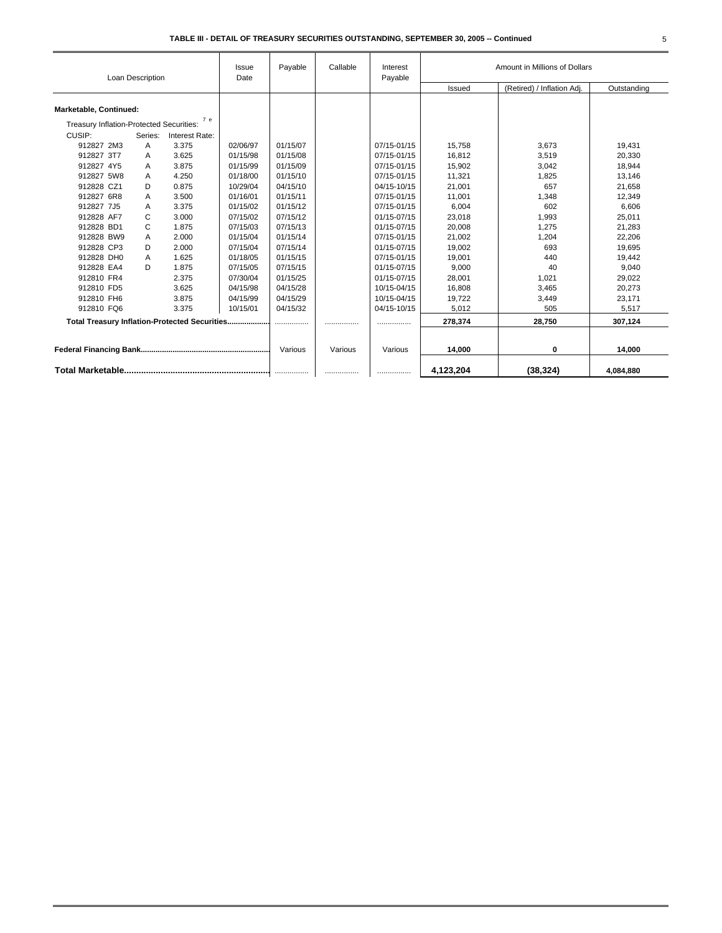|                                               | Loan Description |                | Issue<br>Date | Payable  | Callable<br>Interest<br>Payable |             | Amount in Millions of Dollars |                            |             |
|-----------------------------------------------|------------------|----------------|---------------|----------|---------------------------------|-------------|-------------------------------|----------------------------|-------------|
|                                               |                  |                |               |          |                                 |             | Issued                        | (Retired) / Inflation Adj. | Outstanding |
| Marketable, Continued:                        |                  |                |               |          |                                 |             |                               |                            |             |
| Treasury Inflation-Protected Securities:      |                  | 7е             |               |          |                                 |             |                               |                            |             |
| CUSIP:                                        | Series:          | Interest Rate: |               |          |                                 |             |                               |                            |             |
| 912827 2M3                                    | A                | 3.375          | 02/06/97      | 01/15/07 |                                 | 07/15-01/15 | 15,758                        | 3,673                      | 19,431      |
| 912827 3T7                                    | A                | 3.625          | 01/15/98      | 01/15/08 |                                 | 07/15-01/15 | 16,812                        | 3,519                      | 20,330      |
| 912827 4Y5                                    | A                | 3.875          | 01/15/99      | 01/15/09 |                                 | 07/15-01/15 | 15,902                        | 3,042                      | 18,944      |
| 912827 5W8                                    | A                | 4.250          | 01/18/00      | 01/15/10 |                                 | 07/15-01/15 | 11,321                        | 1,825                      | 13,146      |
| 912828 CZ1                                    | D                | 0.875          | 10/29/04      | 04/15/10 |                                 | 04/15-10/15 | 21,001                        | 657                        | 21,658      |
| 912827 6R8                                    | A                | 3.500          | 01/16/01      | 01/15/11 |                                 | 07/15-01/15 | 11,001                        | 1,348                      | 12,349      |
| 912827 7J5                                    | A                | 3.375          | 01/15/02      | 01/15/12 |                                 | 07/15-01/15 | 6,004                         | 602                        | 6,606       |
| 912828 AF7                                    | C                | 3.000          | 07/15/02      | 07/15/12 |                                 | 01/15-07/15 | 23,018                        | 1,993                      | 25,011      |
| 912828 BD1                                    | C                | 1.875          | 07/15/03      | 07/15/13 |                                 | 01/15-07/15 | 20,008                        | 1,275                      | 21,283      |
| 912828 BW9                                    | A                | 2.000          | 01/15/04      | 01/15/14 |                                 | 07/15-01/15 | 21,002                        | 1,204                      | 22,206      |
| 912828 CP3                                    | D                | 2.000          | 07/15/04      | 07/15/14 |                                 | 01/15-07/15 | 19,002                        | 693                        | 19.695      |
| 912828 DH0                                    | A                | 1.625          | 01/18/05      | 01/15/15 |                                 | 07/15-01/15 | 19,001                        | 440                        | 19,442      |
| 912828 EA4                                    | D                | 1.875          | 07/15/05      | 07/15/15 |                                 | 01/15-07/15 | 9,000                         | 40                         | 9,040       |
| 912810 FR4                                    |                  | 2.375          | 07/30/04      | 01/15/25 |                                 | 01/15-07/15 | 28,001                        | 1,021                      | 29,022      |
| 912810 FD5                                    |                  | 3.625          | 04/15/98      | 04/15/28 |                                 | 10/15-04/15 | 16,808                        | 3,465                      | 20,273      |
| 912810 FH6                                    |                  | 3.875          | 04/15/99      | 04/15/29 |                                 | 10/15-04/15 | 19,722                        | 3,449                      | 23,171      |
| 912810 FQ6                                    |                  | 3.375          | 10/15/01      | 04/15/32 |                                 | 04/15-10/15 | 5,012                         | 505                        | 5,517       |
| Total Treasury Inflation-Protected Securities |                  |                |               | .        |                                 |             | 278,374                       | 28,750                     | 307,124     |
|                                               |                  |                |               |          |                                 |             |                               |                            |             |
|                                               |                  |                |               | Various  | Various                         | Various     | 14,000                        | 0                          | 14.000      |
|                                               |                  |                |               |          |                                 |             | 4,123,204                     | (38, 324)                  | 4,084,880   |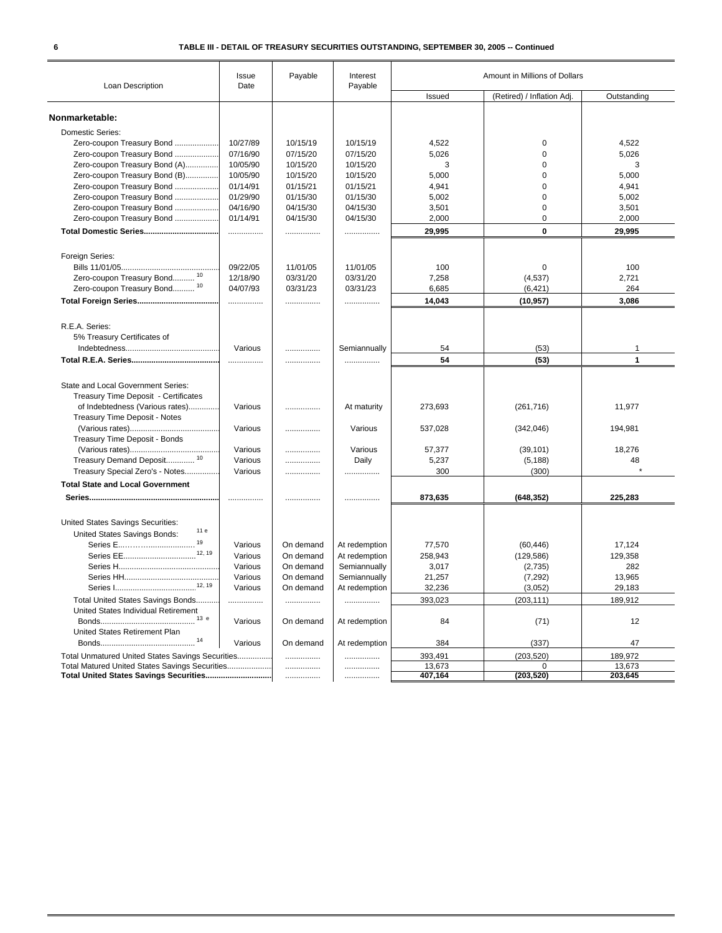| Loan Description                                 | Issue<br>Date | Payable   | Interest<br>Payable | Amount in Millions of Dollars        |             |              |
|--------------------------------------------------|---------------|-----------|---------------------|--------------------------------------|-------------|--------------|
|                                                  |               |           |                     | (Retired) / Inflation Adj.<br>Issued |             | Outstanding  |
|                                                  |               |           |                     |                                      |             |              |
| Nonmarketable:                                   |               |           |                     |                                      |             |              |
| <b>Domestic Series:</b>                          |               |           |                     |                                      |             |              |
| Zero-coupon Treasury Bond                        | 10/27/89      | 10/15/19  | 10/15/19            | 4,522                                | 0           | 4,522        |
| Zero-coupon Treasury Bond                        | 07/16/90      | 07/15/20  | 07/15/20            | 5,026                                | 0           | 5,026        |
| Zero-coupon Treasury Bond (A)                    | 10/05/90      | 10/15/20  | 10/15/20            | 3                                    | 0           | 3            |
| Zero-coupon Treasury Bond (B)                    | 10/05/90      | 10/15/20  | 10/15/20            | 5,000                                | 0           | 5,000        |
| Zero-coupon Treasury Bond                        | 01/14/91      | 01/15/21  | 01/15/21            | 4,941                                | $\mathbf 0$ | 4,941        |
| Zero-coupon Treasury Bond                        | 01/29/90      | 01/15/30  | 01/15/30            | 5,002                                | $\mathbf 0$ | 5,002        |
| Zero-coupon Treasury Bond                        | 04/16/90      | 04/15/30  | 04/15/30            | 3,501                                | 0           | 3,501        |
| Zero-coupon Treasury Bond                        | 01/14/91      | 04/15/30  | 04/15/30            | 2,000                                | $\mathbf 0$ | 2,000        |
|                                                  | .             |           |                     | 29,995                               | 0           | 29,995       |
|                                                  |               |           |                     |                                      |             |              |
| Foreign Series:                                  |               |           |                     |                                      |             |              |
|                                                  | 09/22/05      | 11/01/05  | 11/01/05            | 100                                  | 0           | 100          |
| Zero-coupon Treasury Bond <sup>10</sup>          | 12/18/90      | 03/31/20  | 03/31/20            | 7,258                                | (4,537)     | 2,721        |
| Zero-coupon Treasury Bond 10                     | 04/07/93      | 03/31/23  | 03/31/23            | 6,685                                | (6, 421)    | 264          |
|                                                  | .             | .         | .                   | 14,043                               | (10, 957)   | 3,086        |
|                                                  |               |           |                     |                                      |             |              |
| R.E.A. Series:                                   |               |           |                     |                                      |             |              |
| 5% Treasury Certificates of                      |               |           |                     |                                      |             |              |
|                                                  | Various       | .         | Semiannually        | 54                                   | (53)        | 1            |
|                                                  |               | .         |                     | 54                                   | (53)        | $\mathbf{1}$ |
|                                                  |               |           |                     |                                      |             |              |
| <b>State and Local Government Series:</b>        |               |           |                     |                                      |             |              |
| Treasury Time Deposit - Certificates             |               |           |                     |                                      |             |              |
| of Indebtedness (Various rates)                  | Various       | .         | At maturity         | 273,693                              | (261, 716)  | 11,977       |
| Treasury Time Deposit - Notes                    |               |           |                     |                                      |             |              |
|                                                  | Various       | .         | Various             | 537,028                              | (342,046)   | 194,981      |
| Treasury Time Deposit - Bonds                    |               |           |                     |                                      |             |              |
|                                                  | Various       | .         | Various             | 57,377                               | (39, 101)   | 18,276       |
| Treasury Demand Deposit <sup>10</sup>            | Various       | .         | Daily               | 5,237                                | (5, 188)    | 48           |
| Treasury Special Zero's - Notes                  | Various       | .         |                     | 300                                  | (300)       |              |
| <b>Total State and Local Government</b>          |               |           |                     |                                      |             |              |
|                                                  |               |           |                     | 873,635                              | (648, 352)  | 225,283      |
|                                                  |               |           |                     |                                      |             |              |
| United States Savings Securities:<br>11 e        |               |           |                     |                                      |             |              |
| United States Savings Bonds:<br>19               |               |           |                     |                                      |             |              |
| Series E<br>12, 19                               | Various       | On demand | At redemption       | 77,570                               | (60, 446)   | 17,124       |
|                                                  | Various       | On demand | At redemption       | 258,943                              | (129, 586)  | 129,358      |
|                                                  | Various       | On demand | Semiannually        | 3,017                                | (2,735)     | 282          |
| 12, 19                                           | Various       | On demand | Semiannually        | 21,257                               | (7, 292)    | 13,965       |
| Series I                                         | Various       | On demand | At redemption       | 32.236                               | (3.052)     | 29 183       |
| Total United States Savings Bonds                |               |           |                     | 393,023                              | (203, 111)  | 189,912      |
| United States Individual Retirement              |               |           |                     |                                      |             |              |
| 13 e                                             | Various       | On demand | At redemption       | 84                                   | (71)        | 12           |
| United States Retirement Plan                    |               |           |                     |                                      |             |              |
| 14                                               | Various       | On demand | At redemption       | 384                                  | (337)       | 47           |
| Total Unmatured United States Savings Securities |               |           |                     | 393,491                              | (203, 520)  | 189,972      |
| Total Matured United States Savings Securities   |               | .         | .                   | 13,673                               | 0           | 13,673       |
| Total United States Savings Securities           |               |           | .                   | 407,164                              | (203, 520)  | 203,645      |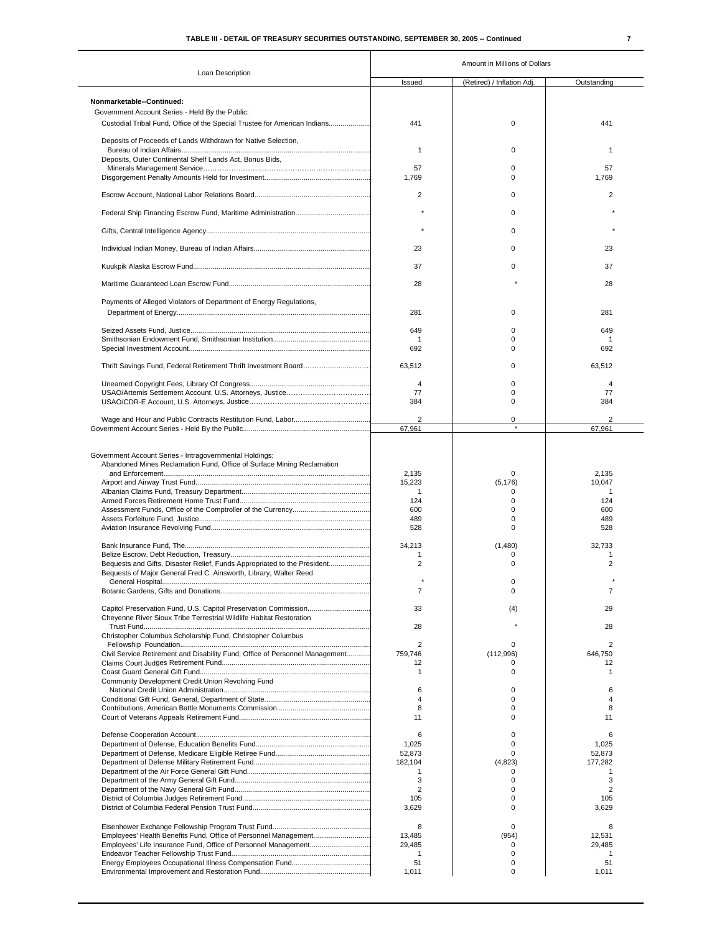|                                                                              | Amount in Millions of Dollars      |                              |                                    |  |  |  |
|------------------------------------------------------------------------------|------------------------------------|------------------------------|------------------------------------|--|--|--|
| Loan Description                                                             | Issued                             | (Retired) / Inflation Adj.   | Outstanding                        |  |  |  |
|                                                                              |                                    |                              |                                    |  |  |  |
| Nonmarketable--Continued:<br>Government Account Series - Held By the Public: |                                    |                              |                                    |  |  |  |
| Custodial Tribal Fund, Office of the Special Trustee for American Indians    | 441                                | 0                            | 441                                |  |  |  |
|                                                                              |                                    |                              |                                    |  |  |  |
| Deposits of Proceeds of Lands Withdrawn for Native Selection,                | 1                                  | 0                            | $\mathbf{1}$                       |  |  |  |
| Deposits, Outer Continental Shelf Lands Act, Bonus Bids,                     |                                    |                              |                                    |  |  |  |
|                                                                              | 57                                 | 0                            | 57                                 |  |  |  |
|                                                                              | 1,769                              | 0                            | 1,769                              |  |  |  |
|                                                                              | $\overline{2}$                     | 0                            | $\overline{2}$                     |  |  |  |
|                                                                              |                                    |                              |                                    |  |  |  |
|                                                                              |                                    | 0                            |                                    |  |  |  |
|                                                                              |                                    | 0                            |                                    |  |  |  |
|                                                                              | 23                                 | 0                            | 23                                 |  |  |  |
|                                                                              |                                    |                              |                                    |  |  |  |
|                                                                              | 37                                 | $\Omega$                     | 37                                 |  |  |  |
|                                                                              | 28                                 |                              | 28                                 |  |  |  |
|                                                                              |                                    |                              |                                    |  |  |  |
| Payments of Alleged Violators of Department of Energy Regulations,           |                                    | $\Omega$                     |                                    |  |  |  |
|                                                                              | 281                                |                              | 281                                |  |  |  |
|                                                                              | 649                                | $\Omega$                     | 649                                |  |  |  |
|                                                                              | 1<br>692                           | 0<br><sup>0</sup>            | 1<br>692                           |  |  |  |
|                                                                              |                                    |                              |                                    |  |  |  |
|                                                                              | 63,512                             | 0                            | 63,512                             |  |  |  |
|                                                                              | 4                                  | 0                            | 4                                  |  |  |  |
|                                                                              | 77                                 | 0                            | 77                                 |  |  |  |
|                                                                              | 384                                | 0                            | 384                                |  |  |  |
|                                                                              | 2                                  | 0                            |                                    |  |  |  |
|                                                                              | 67.961                             | $\star$                      | 67,961                             |  |  |  |
| Abandoned Mines Reclamation Fund, Office of Surface Mining Reclamation       | 2,135<br>15,223<br>1<br>124<br>600 | 0<br>(5, 176)<br>0<br>0<br>0 | 2,135<br>10,047<br>1<br>124<br>600 |  |  |  |
|                                                                              | 489<br>528                         | 0<br>$\Omega$                | 489<br>528                         |  |  |  |
|                                                                              |                                    |                              |                                    |  |  |  |
|                                                                              | 34,213<br>1                        | (1,480)<br>0                 | 32,733<br>$\mathbf{1}$             |  |  |  |
| Bequests and Gifts, Disaster Relief, Funds Appropriated to the President     | $\overline{c}$                     | 0                            | $\overline{2}$                     |  |  |  |
| Bequests of Major General Fred C. Ainsworth, Library, Walter Reed            |                                    | $\mathbf 0$                  |                                    |  |  |  |
|                                                                              | 7                                  | 0                            | 7                                  |  |  |  |
|                                                                              | 33                                 | (4)                          | 29                                 |  |  |  |
| Cheyenne River Sioux Tribe Terrestrial Wildlife Habitat Restoration          |                                    |                              |                                    |  |  |  |
| Christopher Columbus Scholarship Fund, Christopher Columbus                  | 28                                 |                              | 28                                 |  |  |  |
|                                                                              | $\overline{2}$                     | 0                            | 2                                  |  |  |  |
| Civil Service Retirement and Disability Fund, Office of Personnel Management | 759,746<br>12                      | (112,996)<br>0               | 646,750<br>12                      |  |  |  |
|                                                                              | 1                                  | 0                            | 1                                  |  |  |  |
| Community Development Credit Union Revolving Fund                            |                                    |                              |                                    |  |  |  |
|                                                                              | 6<br>$\overline{4}$                | 0<br>0                       | 6<br>4                             |  |  |  |
|                                                                              | 8                                  | $\Omega$                     | 8                                  |  |  |  |
|                                                                              | 11                                 | 0                            | 11                                 |  |  |  |
|                                                                              | 6                                  | 0                            | 6                                  |  |  |  |
|                                                                              | 1,025                              | 0                            | 1,025                              |  |  |  |
|                                                                              | 52,873<br>182,104                  | 0<br>(4,823)                 | 52,873<br>177,282                  |  |  |  |
|                                                                              | 1                                  | 0                            | 1                                  |  |  |  |
|                                                                              | 3                                  | 0                            | 3                                  |  |  |  |
|                                                                              | 2<br>105                           | $\Omega$<br>0                | $\overline{2}$<br>105              |  |  |  |
|                                                                              | 3,629                              | 0                            | 3,629                              |  |  |  |
|                                                                              |                                    |                              |                                    |  |  |  |
|                                                                              | 8<br>13,485                        | $\mathbf 0$<br>(954)         | 8<br>12,531                        |  |  |  |
|                                                                              | 29,485                             | $\Omega$                     | 29,485                             |  |  |  |
|                                                                              | $\mathbf{1}$                       | 0                            | $\mathbf{1}$                       |  |  |  |
|                                                                              | 51<br>1,011                        | 0<br>$\Omega$                | 51<br>1,011                        |  |  |  |
|                                                                              |                                    |                              |                                    |  |  |  |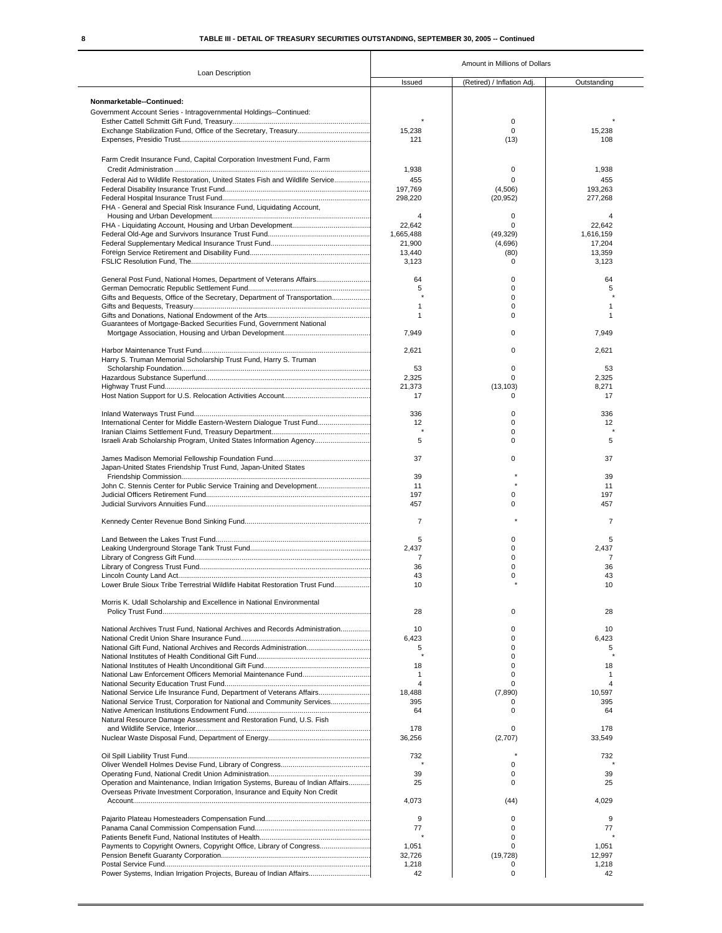|                                                                                | Amount in Millions of Dollars |                            |                      |  |  |  |
|--------------------------------------------------------------------------------|-------------------------------|----------------------------|----------------------|--|--|--|
| Loan Description                                                               | Issued                        | (Retired) / Inflation Adj. | Outstanding          |  |  |  |
| Nonmarketable--Continued:                                                      |                               |                            |                      |  |  |  |
| Government Account Series - Intragovernmental Holdings--Continued:             |                               |                            |                      |  |  |  |
|                                                                                |                               | 0                          |                      |  |  |  |
|                                                                                | 15,238                        | 0                          | 15,238               |  |  |  |
|                                                                                | 121                           | (13)                       | 108                  |  |  |  |
| Farm Credit Insurance Fund, Capital Corporation Investment Fund, Farm          |                               |                            |                      |  |  |  |
|                                                                                | 1,938                         | 0                          | 1,938                |  |  |  |
| Federal Aid to Wildlife Restoration. United States Fish and Wildlife Service   | 455                           | 0                          | 455                  |  |  |  |
|                                                                                | 197,769                       | (4,506)                    | 193,263              |  |  |  |
|                                                                                | 298,220                       | (20, 952)                  | 277,268              |  |  |  |
| FHA - General and Special Risk Insurance Fund. Liquidating Account.            |                               |                            |                      |  |  |  |
|                                                                                | 4                             | 0                          | 4                    |  |  |  |
|                                                                                | 22,642<br>1,665,488           | $\mathbf 0$<br>(49, 329)   | 22.642<br>1,616,159  |  |  |  |
|                                                                                | 21,900                        | (4,696)                    | 17,204               |  |  |  |
|                                                                                | 13,440                        | (80)                       | 13,359               |  |  |  |
|                                                                                | 3,123                         | 0                          | 3,123                |  |  |  |
| General Post Fund, National Homes, Department of Veterans Affairs              | 64                            | 0                          | 64                   |  |  |  |
|                                                                                | 5                             | $\mathbf 0$                | 5                    |  |  |  |
| Gifts and Bequests, Office of the Secretary, Department of Transportation      |                               | $\mathbf 0$                |                      |  |  |  |
|                                                                                | $\mathbf{1}$                  | 0                          | 1                    |  |  |  |
|                                                                                | $\mathbf{1}$                  | 0                          | 1                    |  |  |  |
| Guarantees of Mortgage-Backed Securities Fund, Government National             | 7,949                         | 0                          | 7,949                |  |  |  |
|                                                                                |                               |                            |                      |  |  |  |
|                                                                                | 2,621                         | 0                          | 2,621                |  |  |  |
| Harry S. Truman Memorial Scholarship Trust Fund, Harry S. Truman               | 53                            | 0                          | 53                   |  |  |  |
|                                                                                | 2,325                         | O                          | 2,325                |  |  |  |
|                                                                                | 21,373                        | (13, 103)                  | 8,271                |  |  |  |
|                                                                                | 17                            | 0                          | 17                   |  |  |  |
|                                                                                | 336                           | 0                          | 336                  |  |  |  |
| International Center for Middle Eastern-Western Dialogue Trust Fund            | 12                            | $\mathbf 0$                | 12                   |  |  |  |
|                                                                                |                               | 0                          |                      |  |  |  |
| Israeli Arab Scholarship Program, United States Information Agency             | 5                             | 0                          | 5                    |  |  |  |
|                                                                                | 37                            | 0                          | 37                   |  |  |  |
| Japan-United States Friendship Trust Fund, Japan-United States                 |                               |                            |                      |  |  |  |
|                                                                                | 39                            |                            | 39                   |  |  |  |
| John C. Stennis Center for Public Service Training and Development             | 11                            |                            | 11                   |  |  |  |
|                                                                                | 197<br>457                    | 0<br>0                     | 197<br>457           |  |  |  |
|                                                                                |                               |                            |                      |  |  |  |
|                                                                                | $\overline{7}$                |                            | $\overline{7}$       |  |  |  |
|                                                                                | 5                             | 0                          | 5                    |  |  |  |
|                                                                                | 2,437                         | 0                          | 2,437                |  |  |  |
|                                                                                | 7                             | 0                          | 7                    |  |  |  |
|                                                                                | 36                            | 0                          | 36                   |  |  |  |
| Lower Brule Sioux Tribe Terrestrial Wildlife Habitat Restoration Trust Fund    | 43<br>10                      | $\Omega$                   | 43<br>1 <sub>0</sub> |  |  |  |
|                                                                                |                               |                            |                      |  |  |  |
| Morris K. Udall Scholarship and Excellence in National Environmental           | 28                            | 0                          | 28                   |  |  |  |
|                                                                                |                               |                            |                      |  |  |  |
| National Archives Trust Fund, National Archives and Records Administration     | 10                            | 0                          | 10                   |  |  |  |
|                                                                                | 6,423                         | $\mathbf 0$                | 6,423                |  |  |  |
|                                                                                | 5                             | 0<br>0                     | 5                    |  |  |  |
|                                                                                | 18                            | 0                          | 18                   |  |  |  |
|                                                                                | $\mathbf{1}$                  | 0                          | 1                    |  |  |  |
|                                                                                | 4                             | 0                          | 4                    |  |  |  |
| National Service Life Insurance Fund, Department of Veterans Affairs           | 18,488                        | (7,890)                    | 10,597               |  |  |  |
| National Service Trust, Corporation for National and Community Services        | 395                           | 0                          | 395                  |  |  |  |
|                                                                                | 64                            | 0                          | 64                   |  |  |  |
| Natural Resource Damage Assessment and Restoration Fund, U.S. Fish             | 178                           | 0                          | 178                  |  |  |  |
|                                                                                | 36,256                        | (2,707)                    | 33,549               |  |  |  |
|                                                                                |                               |                            |                      |  |  |  |
|                                                                                | 732                           | 0                          | 732                  |  |  |  |
|                                                                                | 39                            | 0                          | 39                   |  |  |  |
| Operation and Maintenance, Indian Irrigation Systems, Bureau of Indian Affairs | 25                            | $\mathbf 0$                | 25                   |  |  |  |
| Overseas Private Investment Corporation, Insurance and Equity Non Credit       |                               |                            |                      |  |  |  |
|                                                                                | 4,073                         | (44)                       | 4,029                |  |  |  |
|                                                                                | 9                             | 0                          | 9                    |  |  |  |
|                                                                                | 77                            | 0                          | 77                   |  |  |  |
|                                                                                |                               | 0                          |                      |  |  |  |
| Payments to Copyright Owners, Copyright Office, Library of Congress            | 1,051                         | 0                          | 1,051                |  |  |  |
|                                                                                | 32,726<br>1,218               | (19, 728)<br>0             | 12,997<br>1,218      |  |  |  |
| Power Systems, Indian Irrigation Projects, Bureau of Indian Affairs            | 42                            | $\mathbf 0$                | 42                   |  |  |  |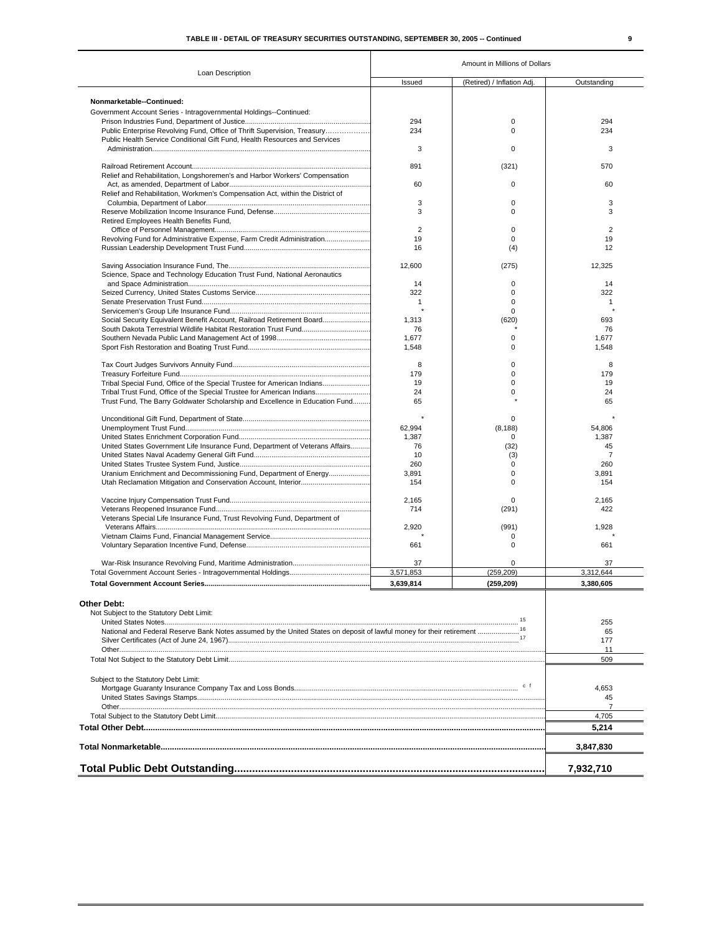|                                                                                                                          | Amount in Millions of Dollars |                            |                |  |  |
|--------------------------------------------------------------------------------------------------------------------------|-------------------------------|----------------------------|----------------|--|--|
| Loan Description                                                                                                         | Issued                        | (Retired) / Inflation Adj. | Outstanding    |  |  |
| Nonmarketable--Continued:                                                                                                |                               |                            |                |  |  |
| Government Account Series - Intragovernmental Holdings--Continued:                                                       |                               |                            |                |  |  |
|                                                                                                                          | 294                           | 0                          | 294            |  |  |
| Public Enterprise Revolving Fund, Office of Thrift Supervision, Treasury                                                 | 234                           | 0                          | 234            |  |  |
| Public Health Service Conditional Gift Fund, Health Resources and Services                                               |                               |                            |                |  |  |
|                                                                                                                          | 3                             | 0                          | 3              |  |  |
|                                                                                                                          |                               |                            |                |  |  |
|                                                                                                                          | 891                           | (321)                      | 570            |  |  |
| Relief and Rehabilitation, Longshoremen's and Harbor Workers' Compensation                                               |                               |                            |                |  |  |
|                                                                                                                          | 60                            | 0                          | 60             |  |  |
| Relief and Rehabilitation, Workmen's Compensation Act, within the District of                                            |                               |                            |                |  |  |
|                                                                                                                          | 3                             | 0                          | 3              |  |  |
|                                                                                                                          | 3                             | 0                          | 3              |  |  |
| Retired Employees Health Benefits Fund,                                                                                  | 2                             |                            | $\overline{2}$ |  |  |
|                                                                                                                          | 19                            | 0<br>$\Omega$              | 19             |  |  |
| Revolving Fund for Administrative Expense, Farm Credit Administration                                                    | 16                            | (4)                        | 12             |  |  |
|                                                                                                                          |                               |                            |                |  |  |
|                                                                                                                          | 12,600                        | (275)                      | 12,325         |  |  |
| Science, Space and Technology Education Trust Fund, National Aeronautics                                                 |                               |                            |                |  |  |
|                                                                                                                          | 14                            | 0                          | 14             |  |  |
|                                                                                                                          | 322                           | 0                          | 322            |  |  |
|                                                                                                                          | $\overline{1}$                | 0                          | $\mathbf{1}$   |  |  |
|                                                                                                                          |                               | 0                          |                |  |  |
| Social Security Equivalent Benefit Account, Railroad Retirement Board                                                    | 1,313                         | (620)                      | 693            |  |  |
| South Dakota Terrestrial Wildlife Habitat Restoration Trust Fund                                                         | 76                            |                            | 76             |  |  |
|                                                                                                                          | 1,677                         | 0                          | 1,677          |  |  |
|                                                                                                                          | 1,548                         | 0                          | 1,548          |  |  |
|                                                                                                                          |                               |                            |                |  |  |
|                                                                                                                          | 8                             | 0                          | 8              |  |  |
|                                                                                                                          | 179                           | 0                          | 179            |  |  |
| Tribal Special Fund, Office of the Special Trustee for American Indians                                                  | 19                            | 0                          | 19             |  |  |
| Tribal Trust Fund, Office of the Special Trustee for American Indians                                                    | 24                            | 0                          | 24             |  |  |
| Trust Fund, The Barry Goldwater Scholarship and Excellence in Education Fund                                             | 65                            |                            | 65             |  |  |
|                                                                                                                          |                               | 0                          |                |  |  |
|                                                                                                                          | 62,994                        |                            | 54,806         |  |  |
|                                                                                                                          | 1,387                         | (8, 188)<br>0              | 1,387          |  |  |
| United States Government Life Insurance Fund, Department of Veterans Affairs                                             | 76                            | (32)                       | 45             |  |  |
|                                                                                                                          | 10                            | (3)                        | $\overline{7}$ |  |  |
|                                                                                                                          | 260                           | 0                          | 260            |  |  |
| Uranium Enrichment and Decommissioning Fund, Department of Energy                                                        | 3,891                         | 0                          | 3,891          |  |  |
|                                                                                                                          | 154                           | 0                          | 154            |  |  |
|                                                                                                                          |                               |                            |                |  |  |
|                                                                                                                          | 2,165                         | 0                          | 2,165          |  |  |
|                                                                                                                          | 714                           | (291)                      | 422            |  |  |
| Veterans Special Life Insurance Fund, Trust Revolving Fund, Department of                                                |                               |                            |                |  |  |
|                                                                                                                          | 2,920                         | (991)                      | 1,928          |  |  |
|                                                                                                                          |                               | 0                          |                |  |  |
|                                                                                                                          | 661                           | 0                          | 661            |  |  |
|                                                                                                                          |                               |                            |                |  |  |
|                                                                                                                          | 37                            | 0                          | 37             |  |  |
|                                                                                                                          | 3,571,853                     | (259, 209)                 | 3.312.644      |  |  |
|                                                                                                                          | 3,639,814                     | (259.209)                  | 3,380,605      |  |  |
|                                                                                                                          |                               |                            |                |  |  |
| <b>Other Debt:</b>                                                                                                       |                               |                            |                |  |  |
| Not Subject to the Statutory Debt Limit:                                                                                 |                               |                            |                |  |  |
|                                                                                                                          |                               |                            | 255            |  |  |
| National and Federal Reserve Bank Notes assumed by the United States on deposit of lawful money for their retirement  16 |                               |                            | 65             |  |  |
|                                                                                                                          |                               |                            | 177            |  |  |
|                                                                                                                          |                               |                            | 11             |  |  |
|                                                                                                                          |                               |                            | 509            |  |  |
|                                                                                                                          |                               |                            |                |  |  |
| Subject to the Statutory Debt Limit:                                                                                     |                               | c f                        |                |  |  |
|                                                                                                                          |                               |                            | 4,653          |  |  |
|                                                                                                                          |                               |                            | 45             |  |  |
|                                                                                                                          |                               |                            | 7              |  |  |
|                                                                                                                          |                               |                            | 4,705          |  |  |
|                                                                                                                          |                               |                            | 5,214          |  |  |
|                                                                                                                          |                               |                            |                |  |  |
|                                                                                                                          |                               |                            | 3,847,830      |  |  |
|                                                                                                                          |                               |                            | 7,932,710      |  |  |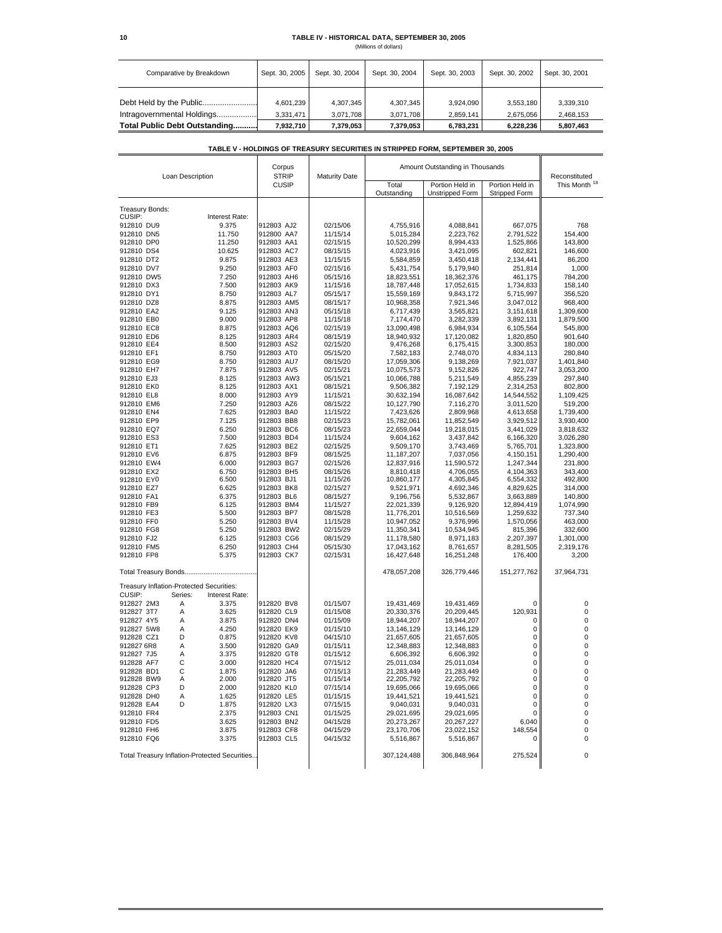### **10 TABLE IV - HISTORICAL DATA, SEPTEMBER 30, 2005**

(Millions of dollars)

| Comparative by Breakdown                              | Sept. 30, 2005         | Sept. 30, 2004         | Sept. 30, 2004         | Sept. 30, 2003         | Sept. 30, 2002         | Sept. 30, 2001         |
|-------------------------------------------------------|------------------------|------------------------|------------------------|------------------------|------------------------|------------------------|
| Debt Held by the Public<br>Intragovernmental Holdings | 4,601,239<br>3.331.471 | 4,307,345<br>3.071.708 | 4,307,345<br>3.071.708 | 3.924.090<br>2.859.141 | 3,553,180<br>2.675.056 | 3,339,310<br>2,468,153 |
| Total Public Debt Outstanding                         | 7,932,710              | 7,379,053              | 7.379.053              | 6.783.231              | 6,228,236              | 5,807,463              |

### **TABLE V - HOLDINGS OF TREASURY SECURITIES IN STRIPPED FORM, SEPTEMBER 30, 2005**

| Loan Description                               |                | Corpus<br><b>STRIP</b> | <b>Maturity Date</b>     | Amount Outstanding in Thousands |                                           |                                  | Reconstituted            |                      |
|------------------------------------------------|----------------|------------------------|--------------------------|---------------------------------|-------------------------------------------|----------------------------------|--------------------------|----------------------|
|                                                |                | <b>CUSIP</b>           |                          | Total<br>Outstanding            | Portion Held in<br><b>Unstripped Form</b> | Portion Held in<br>Stripped Form | This Month <sup>18</sup> |                      |
| Treasury Bonds:                                |                |                        |                          |                                 |                                           |                                  |                          |                      |
| CUSIP:                                         |                | Interest Rate:         |                          |                                 |                                           |                                  |                          |                      |
| 912810 DU9                                     |                | 9.375                  | 912803 AJ2               | 02/15/06                        | 4,755,916                                 | 4,088,841                        | 667,075                  | 768                  |
| 912810 DN5                                     |                | 11.750                 | 912800 AA7               | 11/15/14                        | 5,015,284                                 | 2,223,762                        | 2,791,522                | 154,400              |
| 912810 DP0                                     |                | 11.250                 | 912803 AA1               | 02/15/15                        | 10,520,299                                | 8,994,433                        | 1,525,866                | 143,800              |
| 912810 DS4                                     |                | 10.625                 | 912803 AC7               | 08/15/15                        | 4,023,916                                 | 3,421,095                        | 602,821                  | 146,600              |
| 912810 DT2                                     |                | 9.875                  | 912803 AE3               | 11/15/15                        | 5,584,859                                 | 3,450,418                        | 2,134,441                | 86,200               |
| 912810 DV7                                     |                | 9.250                  | 912803 AF0               | 02/15/16                        | 5,431,754                                 | 5,179,940                        | 251,814                  | 1,000                |
| 912810 DW5                                     |                | 7.250                  | 912803 AH6               | 05/15/16                        | 18,823,551                                | 18,362,376                       | 461,175                  | 784,200              |
| 912810 DX3                                     |                | 7.500                  | 912803 AK9               | 11/15/16                        | 18,787,448                                | 17,052,615                       | 1,734,833                | 158,140              |
| 912810 DY1                                     |                | 8.750                  | 912803 AL7               | 05/15/17                        | 15,559,169                                | 9,843,172                        | 5,715,997                | 356,520              |
| 912810 DZ8                                     |                | 8.875                  | 912803 AM5               | 08/15/17                        | 10,968,358                                | 7,921,346                        | 3,047,012                | 968,400              |
| 912810 EA2                                     |                | 9.125                  | 912803 AN3               | 05/15/18                        | 6,717,439                                 | 3,565,821                        | 3,151,618                | 1,309,600            |
| 912810 EB0                                     |                | 9.000                  | 912803 AP8               | 11/15/18                        | 7,174,470                                 | 3,282,339                        | 3,892,131                | 1,879,500            |
| 912810 EC8                                     |                | 8.875                  | 912803 AQ6               | 02/15/19                        | 13,090,498                                | 6,984,934                        | 6,105,564                | 545,800              |
| 912810 ED6<br>912810 EE4                       |                | 8.125<br>8.500         | 912803 AR4<br>912803 AS2 | 08/15/19<br>02/15/20            | 18,940,932<br>9,476,268                   | 17,120,082<br>6,175,415          | 1,820,850<br>3,300,853   | 901,640<br>180,000   |
|                                                |                | 8.750                  | 912803 AT0               |                                 |                                           | 2,748,070                        |                          |                      |
| 912810 EF1                                     |                |                        | 912803 AU7               | 05/15/20                        | 7,582,183                                 |                                  | 4,834,113<br>7,921,037   | 280,840              |
| 912810 EG9<br>912810 EH7                       |                | 8.750<br>7.875         | 912803 AV5               | 08/15/20<br>02/15/21            | 17,059,306                                | 9,138,269                        |                          | 1,401,840            |
| 912810 EJ3                                     |                | 8.125                  | 912803 AW3               | 05/15/21                        | 10,075,573<br>10,066,788                  | 9,152,826<br>5,211,549           | 922,747<br>4,855,239     | 3,053,200<br>297,840 |
| 912810 EK0                                     |                | 8.125                  | 912803 AX1               | 08/15/21                        | 9,506,382                                 | 7,192,129                        | 2,314,253                | 802,800              |
| 912810 EL8                                     |                | 8.000                  | 912803 AY9               | 11/15/21                        | 30,632,194                                | 16,087,642                       | 14,544,552               | 1,109,425            |
| 912810 EM6                                     |                | 7.250                  | 912803 AZ6               | 08/15/22                        | 10,127,790                                | 7,116,270                        | 3,011,520                | 519,200              |
| 912810 EN4                                     |                | 7.625                  | 912803 BA0               | 11/15/22                        | 7,423,626                                 | 2,809,968                        | 4,613,658                | 1,739,400            |
| 912810 EP9                                     |                | 7.125                  | 912803 BB8               | 02/15/23                        | 15,782,061                                | 11,852,549                       | 3,929,512                | 3,930,400            |
| 912810 EQ7                                     |                | 6.250                  | 912803 BC6               | 08/15/23                        | 22,659,044                                | 19,218,015                       | 3,441,029                | 3,818,632            |
| 912810 ES3                                     |                | 7.500                  | 912803 BD4               | 11/15/24                        | 9,604,162                                 | 3,437,842                        | 6,166,320                | 3,026,280            |
| 912810 ET1                                     |                | 7.625                  | 912803 BE2               | 02/15/25                        | 9,509,170                                 | 3,743,469                        | 5,765,701                | 1,323,800            |
| 912810 EV6                                     |                | 6.875                  | 912803 BF9               | 08/15/25                        | 11,187,207                                | 7,037,056                        | 4,150,151                | 1,290,400            |
| 912810 EW4                                     |                | 6.000                  | 912803 BG7               | 02/15/26                        | 12,837,916                                | 11,590,572                       | 1,247,344                | 231,800              |
| 912810 EX2                                     |                | 6.750                  | 912803 BH5               | 08/15/26                        | 8,810,418                                 | 4,706,055                        | 4,104,363                | 343,400              |
| 912810 EY0                                     |                | 6.500                  | 912803 BJ1               | 11/15/26                        | 10,860,177                                | 4,305,845                        | 6,554,332                | 492,800              |
| 912810 EZ7                                     |                | 6.625                  | 912803 BK8               | 02/15/27                        | 9,521,971                                 | 4,692,346                        | 4,829,625                | 314,000              |
| 912810 FA1                                     |                | 6.375                  | 912803 BL6               | 08/15/27                        | 9,196,756                                 | 5,532,867                        | 3,663,889                | 140,800              |
| 912810 FB9                                     |                | 6.125                  | 912803 BM4               | 11/15/27                        | 22,021,339                                | 9,126,920                        | 12,894,419               | 1,074,990            |
| 912810 FE3                                     |                | 5.500                  | 912803 BP7               | 08/15/28                        | 11,776,201                                | 10,516,569                       | 1,259,632                | 737,340              |
| 912810 FF0                                     |                | 5.250                  | 912803 BV4               | 11/15/28                        | 10,947,052                                | 9,376,996                        | 1,570,056                | 463,000              |
| 912810 FG8                                     |                | 5.250                  | 912803 BW2               | 02/15/29                        | 11,350,341                                | 10,534,945                       | 815,396                  | 332,600              |
| 912810 FJ2                                     |                | 6.125                  | 912803 CG6               | 08/15/29                        | 11,178,580                                | 8,971,183                        | 2,207,397                | 1,301,000            |
| 912810 FM5                                     |                | 6.250                  | 912803 CH4               | 05/15/30                        | 17,043,162                                | 8,761,657                        | 8,281,505                | 2,319,176            |
| 912810 FP8                                     |                | 5.375                  | 912803 CK7               | 02/15/31                        | 16,427,648                                | 16,251,248                       | 176,400                  | 3,200                |
|                                                |                |                        |                          |                                 | 478,057,208                               | 326,779,446                      | 151,277,762              | 37,964,731           |
|                                                |                |                        |                          |                                 |                                           |                                  |                          |                      |
| Treasury Inflation-Protected Securities:       |                |                        |                          |                                 |                                           |                                  |                          |                      |
| CUSIP:                                         | Series:        | Interest Rate:         |                          |                                 |                                           |                                  |                          |                      |
| 912827 2M3                                     | Α              | 3.375                  | 912820 BV8               | 01/15/07                        | 19,431,469                                | 19,431,469                       | $\Omega$                 | 0                    |
| 912827 3T7                                     | Α              | 3.625                  | 912820 CL9               | 01/15/08                        | 20,330,376                                | 20,209,445                       | 120,931                  | 0                    |
| 912827 4Y5                                     | Α              | 3.875                  | 912820 DN4               | 01/15/09                        | 18,944,207                                | 18,944,207                       | 0                        | 0                    |
| 912827 5W8                                     | Α<br>D         | 4.250                  | 912820 EK9               | 01/15/10                        | 13,146,129                                | 13,146,129                       | 0<br>0                   | 0<br>0               |
| 912828 CZ1<br>912827 6R8                       | A              | 0.875<br>3.500         | 912820 KV8<br>912820 GA9 | 04/15/10<br>01/15/11            | 21,657,605<br>12,348,883                  | 21,657,605<br>12,348,883         | $\mathbf 0$              | 0                    |
| 912827 7J5                                     | A              | 3.375                  | 912820 GT8               | 01/15/12                        | 6,606,392                                 | 6,606,392                        | $\mathbf 0$              | 0                    |
| 912828 AF7                                     | C              | 3.000                  | 912820 HC4               | 07/15/12                        |                                           |                                  | $\Omega$                 | 0                    |
| 912828 BD1                                     | $\mathsf{C}$   | 1.875                  | 912820 JA6               | 07/15/13                        | 25,011,034<br>21,283,449                  | 25,011,034<br>21,283,449         | $\mathbf 0$              | $\mathbf 0$          |
| 912828 BW9                                     | $\overline{A}$ | 2.000                  | 912820 JT5               | 01/15/14                        | 22,205,792                                | 22,205,792                       | $\mathbf 0$              | 0                    |
| 912828 CP3                                     | D              | 2.000                  | 912820 KL0               | 07/15/14                        | 19,695,066                                | 19,695,066                       | $\mathbf 0$              | $\mathbf 0$          |
| 912828 DH0                                     | Α              | 1.625                  | 912820 LE5               | 01/15/15                        | 19,441,521                                | 19,441,521                       | 0                        | $\mathbf 0$          |
| 912828 EA4                                     | D              | 1.875                  | 912820 LX3               | 07/15/15                        | 9,040,031                                 | 9,040,031                        | 0                        | 0                    |
| 912810 FR4                                     |                | 2.375                  | 912803 CN1               | 01/15/25                        | 29,021,695                                | 29,021,695                       | 0                        | 0                    |
| 912810 FD5                                     |                | 3.625                  | 912803 BN2               | 04/15/28                        | 20,273,267                                | 20,267,227                       | 6,040                    | 0                    |
| 912810 FH6                                     |                | 3.875                  | 912803 CF8               | 04/15/29                        | 23,170,706                                | 23,022,152                       | 148,554                  | 0                    |
| 912810 FQ6                                     |                | 3.375                  | 912803 CL5               | 04/15/32                        | 5,516,867                                 | 5,516,867                        | 0                        | 0                    |
| Total Treasury Inflation-Protected Securities. |                |                        |                          | 307,124,488                     | 306,848,964                               | 275,524                          | $\mathbf 0$              |                      |
|                                                |                |                        |                          |                                 |                                           |                                  |                          |                      |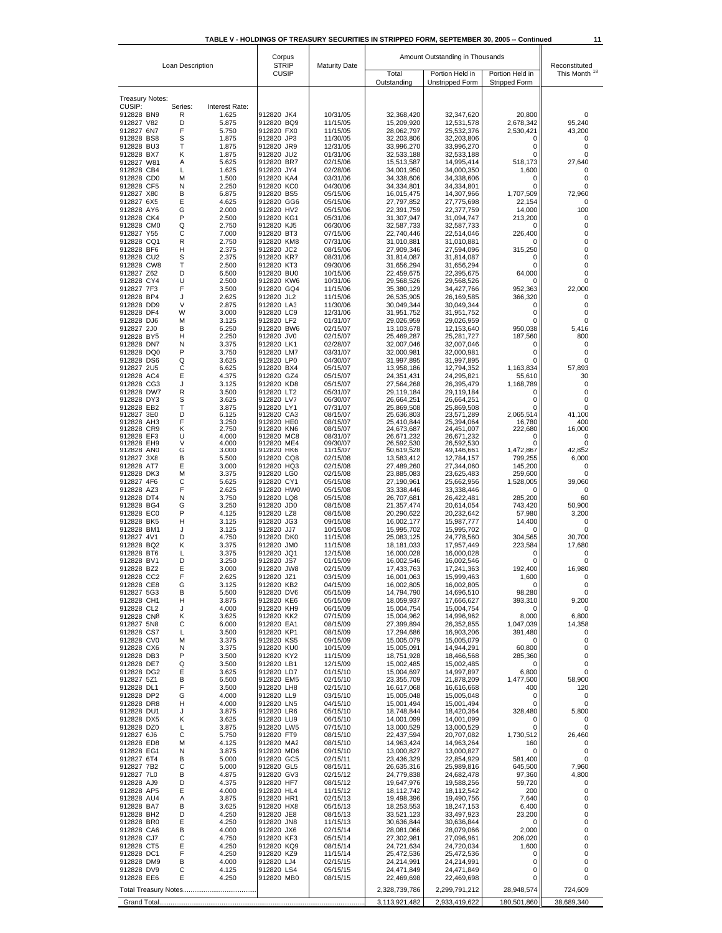| Loan Description         |              |                         | Corpus                       |                      | Amount Outstanding in Thousands |                          |                        |                                           |  |
|--------------------------|--------------|-------------------------|------------------------------|----------------------|---------------------------------|--------------------------|------------------------|-------------------------------------------|--|
|                          |              |                         | <b>STRIP</b><br><b>CUSIP</b> | <b>Maturity Date</b> | Total                           | Portion Held in          | Portion Held in        | Reconstituted<br>This Month <sup>18</sup> |  |
|                          |              |                         |                              |                      | Outstanding                     | Unstripped Form          | Stripped Form          |                                           |  |
| <b>Treasury Notes:</b>   |              |                         |                              |                      |                                 |                          |                        |                                           |  |
| CUSIP:<br>912828 BN9     | Series:<br>R | Interest Rate:<br>1.625 | 912820 JK4                   | 10/31/05             | 32,368,420                      | 32,347,620               | 20.800                 | 0                                         |  |
| 912827 V82<br>912827 6N7 | D<br>F       | 5.875<br>5.750          | 912820 BQ9<br>912820 FX0     | 11/15/05<br>11/15/05 | 15,209,920<br>28,062,797        | 12,531,578<br>25,532,376 | 2,678,342<br>2,530,421 | 95,240<br>43.200                          |  |
| 912828 BS8               | s            | 1.875                   | 912820 JP3                   | 11/30/05             | 32,203,806                      | 32,203,806               | 0                      | 0                                         |  |
| 912828 BU3<br>912828 BX7 | т<br>κ       | 1.875<br>1.875          | 912820 JR9<br>912820 JU2     | 12/31/05<br>01/31/06 | 33,996,270<br>32,533,188        | 33,996,270<br>32,533,188 | 0<br>0                 | 0<br>0                                    |  |
| 912827 W81               | Α            | 5.625                   | 912820 BR7                   | 02/15/06             | 15,513,587                      | 14,995,414               | 518,173                | 27,640                                    |  |
| 912828 CB4<br>912828 CD0 | L<br>М       | 1.625<br>1.500          | 912820 JY4<br>912820 KA4     | 02/28/06<br>03/31/06 | 34,001,950<br>34,338,606        | 34,000,350<br>34,338,606 | 1,600<br>0             | 0<br>0                                    |  |
| 912828 CF5<br>912827 X80 | N<br>в       | 2.250<br>6.875          | 912820 KC0<br>912820 BS5     | 04/30/06<br>05/15/06 | 34,334,801<br>16,015,475        | 34,334,801<br>14,307,966 | 0<br>1,707,509         | 0<br>72,960                               |  |
| 912827 6X5               | Е            | 4.625                   | 912820 GG6                   | 05/15/06             | 27,797,852                      | 27,775,698               | 22,154                 | 0                                         |  |
| 912828 AY6<br>912828 CK4 | G<br>P       | 2.000<br>2.500          | 912820 HV2<br>912820 KG1     | 05/15/06<br>05/31/06 | 22,391,759<br>31,307,947        | 22,377,759<br>31,094,747 | 14,000<br>213,200      | 100<br>0                                  |  |
| 912828 CM0               | Q            | 2.750                   | 912820 KJ5                   | 06/30/06             | 32,587,733                      | 32,587,733               | 0                      | 0                                         |  |
| 912827 Y55<br>912828 CQ1 | С<br>R       | 7.000<br>2.750          | 912820 BT3<br>912820 KM8     | 07/15/06<br>07/31/06 | 22,740,446<br>31,010,881        | 22,514,046<br>31,010,881 | 226,400<br>$\Omega$    | 0<br>0                                    |  |
| 912828 BF6<br>912828 CU2 | н<br>S       | 2.375<br>2.375          | 912820 JC2<br>912820 KR7     | 08/15/06<br>08/31/06 | 27,909,346<br>31,814,087        | 27,594,096<br>31,814,087 | 315,250<br>0           | 0<br>0                                    |  |
| 912828 CW8               | т            | 2.500                   | 912820 KT3                   | 09/30/06             | 31,656,294                      | 31,656,294               | 0                      | 0                                         |  |
| 912827 Z62<br>912828 CY4 | D<br>U       | 6.500<br>2.500          | 912820 BU0<br>912820 KW6     | 10/15/06<br>10/31/06 | 22,459,675<br>29,568,526        | 22,395,675<br>29,568,526 | 64,000<br>$\Omega$     | 0<br>0                                    |  |
| 912827 7F3               | F            | 3.500                   | 912820 GQ4                   | 11/15/06             | 35,380,129                      | 34,427,766               | 952,363                | 22,000                                    |  |
| 912828 BP4<br>912828 DD9 | J<br>V       | 2.625<br>2.875          | 912820 JL2<br>912820 LA3     | 11/15/06<br>11/30/06 | 26,535,905<br>30,049,344        | 26,169,585<br>30,049,344 | 366,320<br>0           | 0<br>0                                    |  |
| 912828 DF4               | W            | 3.000                   | 912820 LC9                   | 12/31/06             | 31,951,752                      | 31,951,752               | 0                      | 0                                         |  |
| 912828 DJ6<br>912827 2J0 | M<br>в       | 3.125<br>6.250          | 912820 LF2<br>912820 BW6     | 01/31/07<br>02/15/07 | 29,026,959<br>13,103,678        | 29,026,959<br>12,153,640 | 0<br>950,038           | 0<br>5,416                                |  |
| 912828 BY5               | н            | 2.250                   | 912820 JV0                   | 02/15/07             | 25,469,287                      | 25,281,727               | 187,560                | 800                                       |  |
| 912828 DN7<br>912828 DQ0 | N<br>P       | 3.375<br>3.750          | 912820 LK1<br>912820 LM7     | 02/28/07<br>03/31/07 | 32,007,046<br>32,000,981        | 32,007,046<br>32,000,981 | 0<br>0                 | 0<br>0                                    |  |
| 912828 DS6               | Q            | 3.625                   | 912820 LP0<br>912820 BX4     | 04/30/07             | 31,997,895                      | 31,997,895               | 0                      | 0                                         |  |
| 912827 2U5<br>912828 AC4 | с<br>Ε       | 6.625<br>4.375          | 912820 GZ4                   | 05/15/07<br>05/15/07 | 13,958,186<br>24,351,431        | 12,794,352<br>24,295,821 | 1,163,834<br>55,610    | 57,893<br>30                              |  |
| 912828 CG3<br>912828 DW7 | J<br>R       | 3.125                   | 912820 KD8<br>912820 LT2     | 05/15/07<br>05/31/07 | 27,564,268                      | 26,395,479               | 1,168,789              | 0<br>0                                    |  |
| 912828 DY3               | S            | 3.500<br>3.625          | 912820 LV7                   | 06/30/07             | 29,119,184<br>26,664,251        | 29,119,184<br>26,664,251 | 0<br>0                 | 0                                         |  |
| 912828 EB2<br>912827 3E0 | т<br>D       | 3.875<br>6.125          | 912820 LY1<br>912820 CA3     | 07/31/07<br>08/15/07 | 25,869,508<br>25,636,803        | 25,869,508<br>23,571,289 | 0<br>2,065,514         | 0<br>41,100                               |  |
| 912828 AH3               | F            | 3.250                   | 912820 HE0                   | 08/15/07             | 25,410,844                      | 25,394,064               | 16,780                 | 400                                       |  |
| 912828 CR9<br>912828 EF3 | Κ<br>U       | 2.750<br>4.000          | 912820 KN6<br>912820 MC8     | 08/15/07<br>08/31/07 | 24,673,687<br>26,671,232        | 24,451,007<br>26,671,232 | 222,680<br>0           | 16,000<br>0                               |  |
| 912828 EH9<br>912828 ANO | ٧<br>G       | 4.000<br>3.000          | 912820 ME4<br>912820 HK6     | 09/30/07<br>11/15/07 | 26,592,530<br>50,619,528        | 26,592,530<br>49,146,661 | 0<br>1,472,867         | 0<br>42,852                               |  |
| 912827 3X8               | В            | 5.500                   | 912820 CQ8                   | 02/15/08             | 13,583,412                      | 12,784,157               | 799,255                | 6,000                                     |  |
| 912828 AT7<br>912828 DK3 | Ε<br>М       | 3.000<br>3.375          | 912820 HQ3<br>912820 LG0     | 02/15/08<br>02/15/08 | 27,489,260<br>23,885,083        | 27,344,060<br>23,625,483 | 145,200<br>259,600     | 0<br>0                                    |  |
| 912827 4F6               | С<br>F       | 5.625                   | 912820 CY1                   | 05/15/08             | 27,190,961                      | 25,662,956               | 1,528,005<br>$\Omega$  | 39,060                                    |  |
| 912828 AZ3<br>912828 DT4 | Ν            | 2.625<br>3.750          | 912820 HW0<br>912820 LQ8     | 05/15/08<br>05/15/08 | 33,338,446<br>26,707,681        | 33,338,446<br>26,422,481 | 285,200                | 0<br>60                                   |  |
| 912828 BG4<br>912828 EC0 | G<br>P       | 3.250<br>4.125          | 912820 JD0<br>912820 LZ8     | 08/15/08             | 21,357,474<br>20,290,622        | 20,614,054<br>20,232,642 | 743,420                | 50,900<br>3,200                           |  |
| 912828 BK5               | н            | 3.125                   | 912820 JG3                   | 08/15/08<br>09/15/08 | 16,002,177                      | 15,987,777               | 57,980<br>14,400       | 0                                         |  |
| 912828 BM1<br>912827 4V1 | J<br>D       | 3.125<br>4.750          | 912820 JJ7<br>912820 DK0     | 10/15/08<br>11/15/08 | 15,995,702<br>25,083,125        | 15,995,702<br>24,778,560 | 0<br>304.565           | 0<br>30,700                               |  |
| 912828 BQ2               | κ            | 3.375                   | 912820 JM0                   | 11/15/08             | 18,181,033                      | 17,957,449               | 223,584                | 17,680                                    |  |
| 912828 BT6<br>912828 BV1 | L<br>D       | 3.375<br>3.250          | 912820 JQ1<br>912820 JS7     | 12/15/08<br>01/15/09 | 16,000,028<br>16,002,546        | 16,000,028<br>16,002,546 | 0<br>0                 | 0<br>0                                    |  |
| 912828 BZ2               | Е            | 3.000                   | 912820 JW8                   | 02/15/09             | 17,433,763                      | 17,241,363               | 192.400                | 16,980                                    |  |
| 912828 CC2<br>912828 CE8 | F<br>G       | 2.625<br>3.125          | 912820 JZ1<br>912820 KB2     | 03/15/09<br>04/15/09 | 16,001,063<br>16,002,805        | 15,999,463<br>16,002,805 | 1,600<br>0             | Ω<br>0                                    |  |
| 912827 5G3               | в            | 5.500                   | 912820 DV6                   | 05/15/09             | 14,794,790                      | 14,696,510               | 98,280                 | 0                                         |  |
| 912828 CH1<br>912828 CL2 | н<br>J       | 3.875<br>4.000          | 912820 KE6<br>912820 KH9     | 05/15/09<br>06/15/09 | 18,059,937<br>15,004,754        | 17,666,627<br>15,004,754 | 393,310<br>$\Omega$    | 9,200<br>0                                |  |
| 912828 CN8               | κ            | 3.625                   | 912820 KK2                   | 07/15/09             | 15,004,962                      | 14,996,962               | 8,000                  | 6,800                                     |  |
| 912827 5N8<br>912828 CS7 | С<br>L       | 6.000<br>3.500          | 912820 EA1<br>912820 KP1     | 08/15/09<br>08/15/09 | 27,399,894<br>17,294,686        | 26,352,855<br>16,903,206 | 1,047,039<br>391,480   | 14,358<br>0                               |  |
| 912828 CV0<br>912828 CX6 | м<br>N       | 3.375                   | 912820 KS5<br>912820 KU0     | 09/15/09<br>10/15/09 | 15,005,079<br>15,005,091        | 15,005,079<br>14,944,291 | $\Omega$<br>60,800     | 0<br>0                                    |  |
| 912828 DB3               | P            | 3.375<br>3.500          | 912820 KY2                   | 11/15/09             | 18,751,928                      | 18,466,568               | 285,360                | 0                                         |  |
| 912828 DE7<br>912828 DG2 | Q<br>Е       | 3.500<br>3.625          | 912820 LB1<br>912820 LD7     | 12/15/09<br>01/15/10 | 15,002,485<br>15,004,697        | 15,002,485<br>14,997,897 | 0<br>6,800             | 0<br>0                                    |  |
| 912827 5Z1               | В            | 6.500                   | 912820 EM5                   | 02/15/10             | 23,355,709                      | 21,878,209               | 1,477,500              | 58,900                                    |  |
| 912828 DL1<br>912828 DP2 | F<br>G       | 3.500<br>4.000          | 912820 LH8<br>912820 LL9     | 02/15/10<br>03/15/10 | 16,617,068<br>15,005,048        | 16,616,668<br>15,005,048 | 400<br>0               | 120<br>0                                  |  |
| 912828 DR8               | н            | 4.000                   | 912820 LN5                   | 04/15/10             | 15,001,494                      | 15,001,494               | 0                      | 0                                         |  |
| 912828 DU1<br>912828 DX5 | J<br>κ       | 3.875<br>3.625          | 912820 LR6<br>912820 LU9     | 05/15/10<br>06/15/10 | 18,748,844<br>14,001,099        | 18,420,364<br>14,001,099 | 328,480<br>0           | 5,800<br>0                                |  |
| 912828 DZ0               | L            | 3.875                   | 912820 LW5                   | 07/15/10             | 13,000,529                      | 13,000,529               | 0                      | 0                                         |  |
| 912827 6J6<br>912828 ED8 | с<br>M       | 5.750<br>4.125          | 912820 FT9<br>912820 MA2     | 08/15/10<br>08/15/10 | 22,437,594<br>14,963,424        | 20,707,082<br>14,963,264 | 1,730,512<br>160       | 26,460<br>0                               |  |
| 912828 EG1               | Ν            | 3.875                   | 912820 MD6                   | 09/15/10             | 13,000,827                      | 13,000,827               | 0                      | 0                                         |  |
| 912827 6T4<br>912827 7B2 | в<br>с       | 5.000<br>5.000          | 912820 GC5<br>912820 GL5     | 02/15/11<br>08/15/11 | 23,436,329<br>26,635,316        | 22,854,929<br>25,989,816 | 581,400<br>645,500     | 0<br>7,960                                |  |
| 912827 7L0               | В            | 4.875                   | 912820 GV3                   | 02/15/12             | 24,779,838                      | 24,682,478               | 97,360                 | 4,800                                     |  |
| 912828 AJ9<br>912828 AP5 | D<br>Ε       | 4.375<br>4.000          | 912820 HF7<br>912820 HL4     | 08/15/12<br>11/15/12 | 19,647,976<br>18,112,742        | 19,588,256<br>18,112,542 | 59,720<br>200          | 0<br>0                                    |  |
| 912828 AU4<br>912828 BA7 | Α<br>в       | 3.875<br>3.625          | 912820 HR1<br>912820 HX8     | 02/15/13<br>05/15/13 | 19,498,396<br>18,253,553        | 19,490,756<br>18,247,153 | 7,640<br>6,400         | 0<br>0                                    |  |
| 912828 BH2               | D            | 4.250                   | 912820 JE8                   | 08/15/13             | 33,521,123                      | 33,497,923               | 23,200                 | 0                                         |  |
| 912828 BR0<br>912828 CA6 | Ε<br>в       | 4.250<br>4.000          | 912820 JN8<br>912820 JX6     | 11/15/13<br>02/15/14 | 30,636,844<br>28,081,066        | 30,636,844<br>28,079,066 | 0<br>2,000             | 0<br>0                                    |  |
| 912828 CJ7               | с            | 4.750                   | 912820 KF3                   | 05/15/14             | 27,302,981                      | 27,096,961               | 206,020                | 0                                         |  |
| 912828 CT5<br>912828 DC1 | Ε<br>F       | 4.250<br>4.250          | 912820 KQ9<br>912820 KZ9     | 08/15/14<br>11/15/14 | 24,721,634<br>25,472,536        | 24,720,034<br>25,472,536 | 1,600<br>0             | 0<br>0                                    |  |
| 912828 DM9               | в            | 4.000                   | 912820 LJ4                   | 02/15/15             | 24,214,991                      | 24,214,991               | 0                      | 0                                         |  |
| 912828 DV9<br>912828 EE6 | С<br>Ε       | 4.125<br>4.250          | 912820 LS4<br>912820 MB0     | 05/15/15<br>08/15/15 | 24,471,849<br>22,469,698        | 24,471,849<br>22,469,698 | 0<br>0                 | 0<br>0                                    |  |
|                          |              |                         |                              |                      | 2,328,739,786                   | 2,299,791,212            | 28,948,574             | 724,609                                   |  |
|                          |              |                         |                              |                      | 3,113,921,482                   | 2,933,419,622            | 180,501,860            | 38,689,340                                |  |